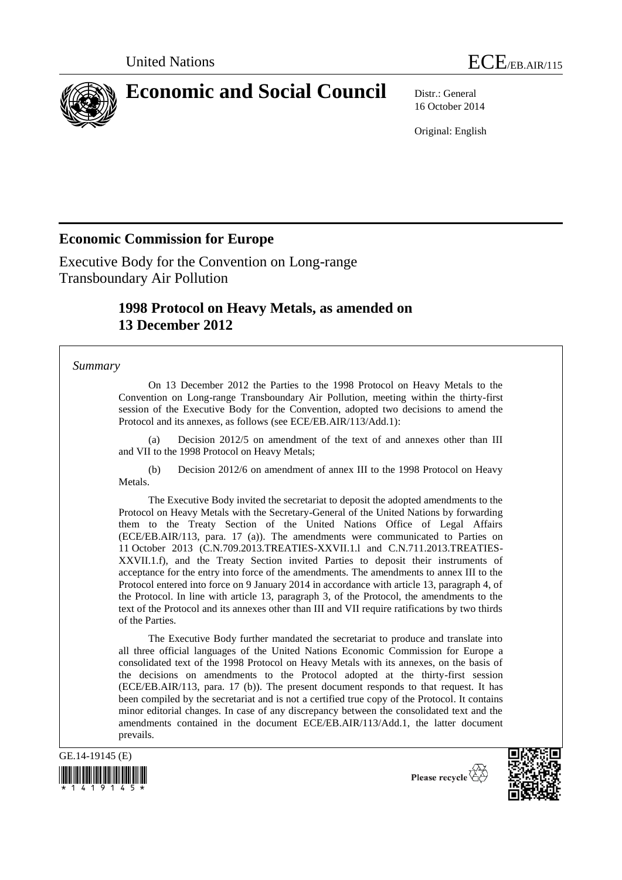

# **Economic and Social Council** Distr.: General

16 October 2014

Original: English

## **Economic Commission for Europe**

Executive Body for the Convention on Long-range Transboundary Air Pollution

## **1998 Protocol on Heavy Metals, as amended on 13 December 2012**

#### *Summary*

On 13 December 2012 the Parties to the 1998 Protocol on Heavy Metals to the Convention on Long-range Transboundary Air Pollution, meeting within the thirty-first session of the Executive Body for the Convention, adopted two decisions to amend the Protocol and its annexes, as follows (see ECE/EB.AIR/113/Add.1):

(a) Decision 2012/5 on amendment of the text of and annexes other than III and VII to the 1998 Protocol on Heavy Metals;

(b) Decision 2012/6 on amendment of annex III to the 1998 Protocol on Heavy Metals.

The Executive Body invited the secretariat to deposit the adopted amendments to the Protocol on Heavy Metals with the Secretary-General of the United Nations by forwarding them to the Treaty Section of the United Nations Office of Legal Affairs (ECE/EB.AIR/113, para. 17 (a)). The amendments were communicated to Parties on 11 October 2013 (C.N.709.2013.TREATIES-XXVII.1.l and C.N.711.2013.TREATIES-XXVII.1.f), and the Treaty Section invited Parties to deposit their instruments of acceptance for the entry into force of the amendments. The amendments to annex III to the Protocol entered into force on 9 January 2014 in accordance with article 13, paragraph 4, of the Protocol. In line with article 13, paragraph 3, of the Protocol, the amendments to the text of the Protocol and its annexes other than III and VII require ratifications by two thirds of the Parties.

The Executive Body further mandated the secretariat to produce and translate into all three official languages of the United Nations Economic Commission for Europe a consolidated text of the 1998 Protocol on Heavy Metals with its annexes, on the basis of the decisions on amendments to the Protocol adopted at the thirty-first session (ECE/EB.AIR/113, para. 17 (b)). The present document responds to that request. It has been compiled by the secretariat and is not a certified true copy of the Protocol. It contains minor editorial changes. In case of any discrepancy between the consolidated text and the amendments contained in the document ECE/EB.AIR/113/Add.1, the latter document prevails.





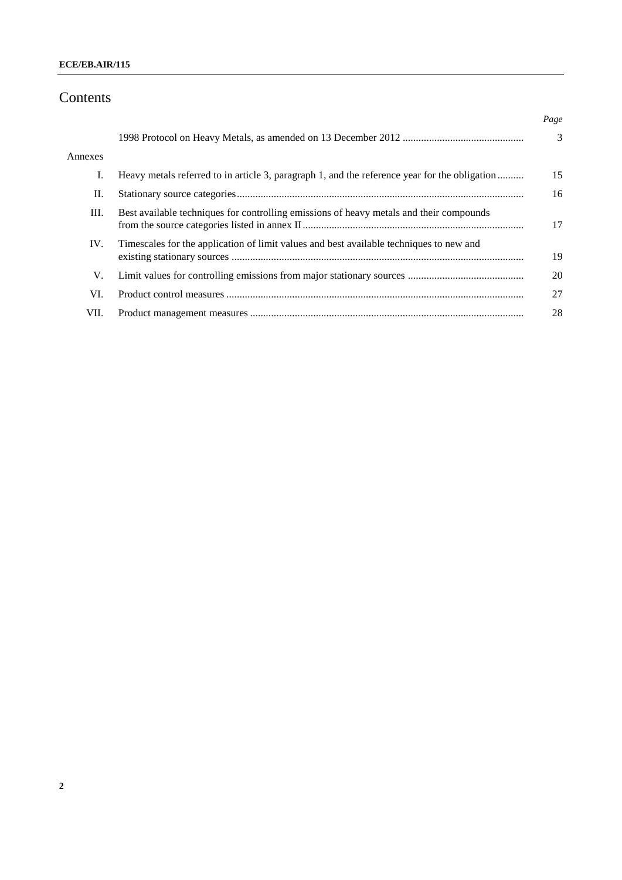#### **ECE/EB.AIR/115**

## Contents

|         |                                                                                               | Page |
|---------|-----------------------------------------------------------------------------------------------|------|
|         |                                                                                               | 3    |
| Annexes |                                                                                               |      |
| L.      | Heavy metals referred to in article 3, paragraph 1, and the reference year for the obligation | 15   |
| П.      |                                                                                               | 16   |
| Ш.      | Best available techniques for controlling emissions of heavy metals and their compounds       | 17   |
| IV.     | Timescales for the application of limit values and best available techniques to new and       | 19   |
| V.      |                                                                                               | 20   |
| VI.     |                                                                                               | 27   |
| VII.    |                                                                                               | 28   |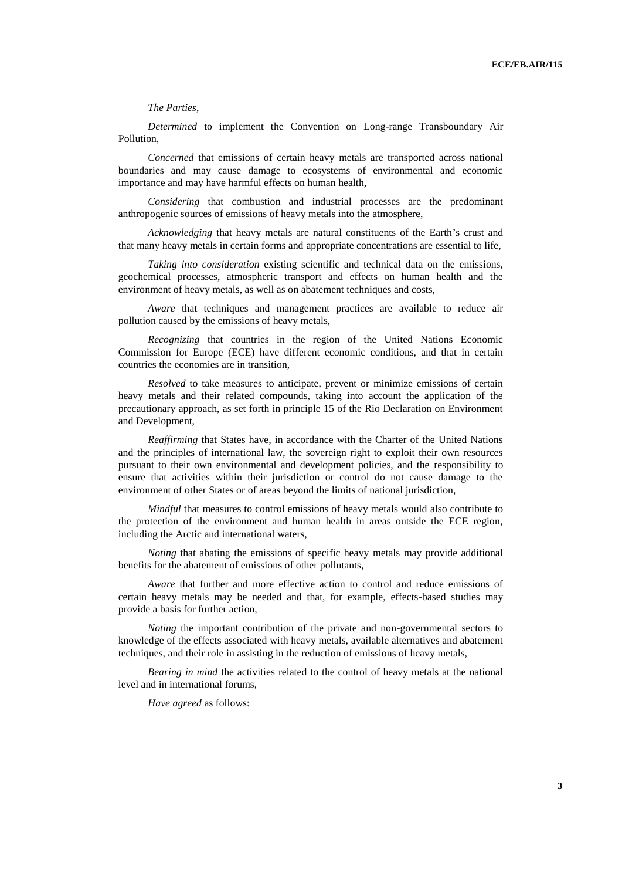*The Parties*,

*Determined* to implement the Convention on Long-range Transboundary Air Pollution,

*Concerned* that emissions of certain heavy metals are transported across national boundaries and may cause damage to ecosystems of environmental and economic importance and may have harmful effects on human health,

*Considering* that combustion and industrial processes are the predominant anthropogenic sources of emissions of heavy metals into the atmosphere,

*Acknowledging* that heavy metals are natural constituents of the Earth's crust and that many heavy metals in certain forms and appropriate concentrations are essential to life,

*Taking into consideration* existing scientific and technical data on the emissions, geochemical processes, atmospheric transport and effects on human health and the environment of heavy metals, as well as on abatement techniques and costs,

*Aware* that techniques and management practices are available to reduce air pollution caused by the emissions of heavy metals,

*Recognizing* that countries in the region of the United Nations Economic Commission for Europe (ECE) have different economic conditions, and that in certain countries the economies are in transition,

*Resolved* to take measures to anticipate, prevent or minimize emissions of certain heavy metals and their related compounds, taking into account the application of the precautionary approach, as set forth in principle 15 of the Rio Declaration on Environment and Development,

*Reaffirming* that States have, in accordance with the Charter of the United Nations and the principles of international law, the sovereign right to exploit their own resources pursuant to their own environmental and development policies, and the responsibility to ensure that activities within their jurisdiction or control do not cause damage to the environment of other States or of areas beyond the limits of national jurisdiction,

*Mindful* that measures to control emissions of heavy metals would also contribute to the protection of the environment and human health in areas outside the ECE region, including the Arctic and international waters,

*Noting* that abating the emissions of specific heavy metals may provide additional benefits for the abatement of emissions of other pollutants,

*Aware* that further and more effective action to control and reduce emissions of certain heavy metals may be needed and that, for example, effects-based studies may provide a basis for further action,

*Noting* the important contribution of the private and non-governmental sectors to knowledge of the effects associated with heavy metals, available alternatives and abatement techniques, and their role in assisting in the reduction of emissions of heavy metals,

*Bearing in mind* the activities related to the control of heavy metals at the national level and in international forums,

*Have agreed* as follows: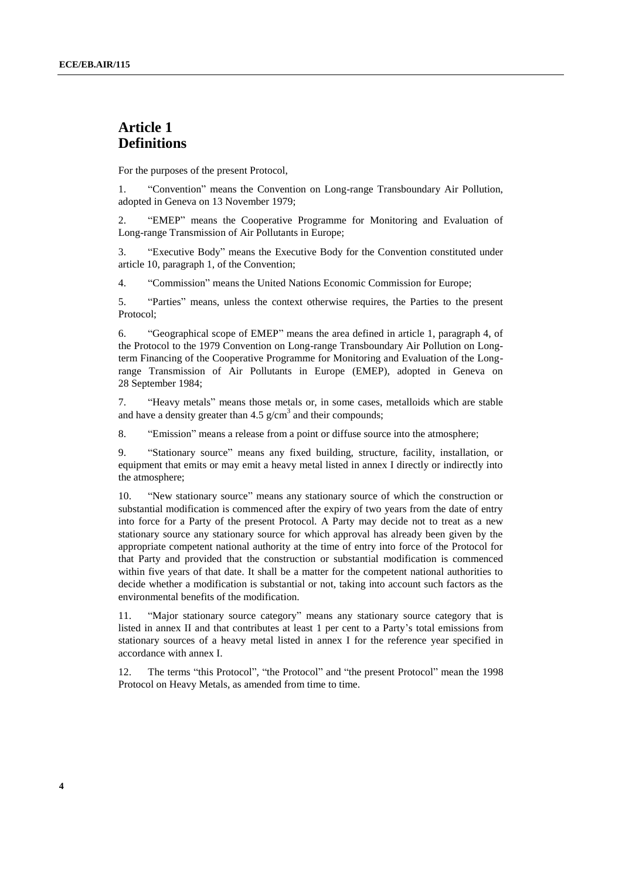### **Article 1 Definitions**

For the purposes of the present Protocol,

1. "Convention" means the Convention on Long-range Transboundary Air Pollution, adopted in Geneva on 13 November 1979;

2. "EMEP" means the Cooperative Programme for Monitoring and Evaluation of Long-range Transmission of Air Pollutants in Europe;

3. "Executive Body" means the Executive Body for the Convention constituted under article 10, paragraph 1, of the Convention;

4. "Commission" means the United Nations Economic Commission for Europe;

5. "Parties" means, unless the context otherwise requires, the Parties to the present Protocol;

6. "Geographical scope of EMEP" means the area defined in article 1, paragraph 4, of the Protocol to the 1979 Convention on Long-range Transboundary Air Pollution on Longterm Financing of the Cooperative Programme for Monitoring and Evaluation of the Longrange Transmission of Air Pollutants in Europe (EMEP), adopted in Geneva on 28 September 1984;

7. "Heavy metals" means those metals or, in some cases, metalloids which are stable and have a density greater than  $4.5 \text{ g/cm}^3$  and their compounds;

8. "Emission" means a release from a point or diffuse source into the atmosphere;

9. "Stationary source" means any fixed building, structure, facility, installation, or equipment that emits or may emit a heavy metal listed in annex I directly or indirectly into the atmosphere;

10. "New stationary source" means any stationary source of which the construction or substantial modification is commenced after the expiry of two years from the date of entry into force for a Party of the present Protocol. A Party may decide not to treat as a new stationary source any stationary source for which approval has already been given by the appropriate competent national authority at the time of entry into force of the Protocol for that Party and provided that the construction or substantial modification is commenced within five years of that date. It shall be a matter for the competent national authorities to decide whether a modification is substantial or not, taking into account such factors as the environmental benefits of the modification.

11. "Major stationary source category" means any stationary source category that is listed in [annex II](file://UNECE-DATA/DATA/GROUPS/EHLM/APT/WGSR/WGSR%20sessions/WGSR50_2012/DOCUMENTS/WGSR50friday/UNECE-DATADATAGROUPSEnhsWEB%20PAGESenvlrtapprotocol98hm_aannex2.htm) and that contributes at least 1 per cent to a Party's total emissions from stationary sources of a heavy metal listed in [annex I](file://UNECE-DATA/DATA/GROUPS/EHLM/APT/WGSR/WGSR%20sessions/WGSR50_2012/DOCUMENTS/WGSR50friday/UNECE-DATADATAGROUPSEnhsWEB%20PAGESenvlrtapprotocol98hm_aannex1.htm) for the reference year specified in accordance with [annex I.](file://UNECE-DATA/DATA/GROUPS/EHLM/APT/WGSR/WGSR%20sessions/WGSR50_2012/DOCUMENTS/WGSR50friday/UNECE-DATADATAGROUPSEnhsWEB%20PAGESenvlrtapprotocol98hm_aannex1.htm)

12. The terms "this Protocol", "the Protocol" and "the present Protocol" mean the 1998 Protocol on Heavy Metals, as amended from time to time.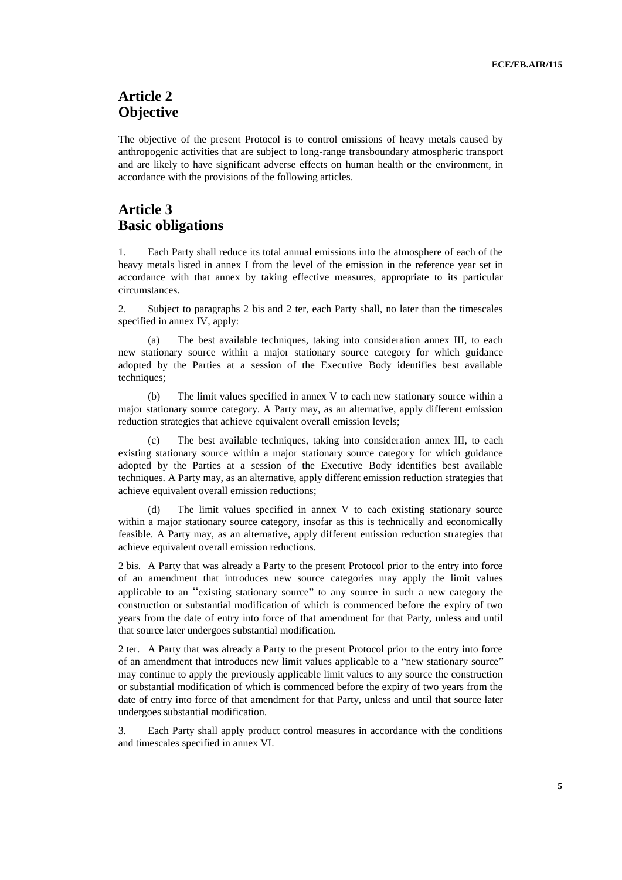## **Article 2 Objective**

The objective of the present Protocol is to control emissions of heavy metals caused by anthropogenic activities that are subject to long-range transboundary atmospheric transport and are likely to have significant adverse effects on human health or the environment, in accordance with the provisions of the following articles.

## **Article 3 Basic obligations**

Each Party shall reduce its total annual emissions into the atmosphere of each of the heavy metals listed in annex I from the level of the emission in the reference year set in accordance with that annex by taking effective measures, appropriate to its particular circumstances.

2. Subject to paragraphs 2 bis and 2 ter, each Party shall, no later than the timescales specified in annex IV, apply:

(a) The best available techniques, taking into consideration annex III, to each new stationary source within a major stationary source category for which guidance adopted by the Parties at a session of the Executive Body identifies best available techniques;

(b) The limit values specified in [annex V](file://UNECE-DATA/DATA/GROUPS/EHLM/APT/WGSR/WGSR%20sessions/WGSR50_2012/DOCUMENTS/WGSR50friday/UNECE-DATADATAGROUPSEnhsWEB%20PAGESenvlrtapprotocol98hm_aannex5.htm) to each new stationary source within a major stationary source category. A Party may, as an alternative, apply different emission reduction strategies that achieve equivalent overall emission levels;

(c) The best available techniques, taking into consideration [annex III,](file://UNECE-DATA/DATA/GROUPS/EHLM/APT/WGSR/WGSR%20sessions/WGSR50_2012/DOCUMENTS/WGSR50friday/UNECE-DATADATAGROUPSEnhsWEB%20PAGESenvlrtapprotocol98hm_aannex3.htm) to each existing stationary source within a major stationary source category for which guidance adopted by the Parties at a session of the Executive Body identifies best available techniques. A Party may, as an alternative, apply different emission reduction strategies that achieve equivalent overall emission reductions;

(d) The limit values specified in [annex V](file://UNECE-DATA/DATA/GROUPS/EHLM/APT/WGSR/WGSR%20sessions/WGSR50_2012/DOCUMENTS/WGSR50friday/UNECE-DATADATAGROUPSEnhsWEB%20PAGESenvlrtapprotocol98hm_aannex5.htm) to each existing stationary source within a major stationary source category, insofar as this is technically and economically feasible. A Party may, as an alternative, apply different emission reduction strategies that achieve equivalent overall emission reductions.

2 bis. A Party that was already a Party to the present Protocol prior to the entry into force of an amendment that introduces new source categories may apply the limit values applicable to an "existing stationary source" to any source in such a new category the construction or substantial modification of which is commenced before the expiry of two years from the date of entry into force of that amendment for that Party, unless and until that source later undergoes substantial modification.

2 ter. A Party that was already a Party to the present Protocol prior to the entry into force of an amendment that introduces new limit values applicable to a "new stationary source" may continue to apply the previously applicable limit values to any source the construction or substantial modification of which is commenced before the expiry of two years from the date of entry into force of that amendment for that Party, unless and until that source later undergoes substantial modification.

3. Each Party shall apply product control measures in accordance with the conditions and timescales specified in [annex VI.](file://UNECE-DATA/DATA/GROUPS/EHLM/APT/WGSR/WGSR%20sessions/WGSR50_2012/DOCUMENTS/WGSR50friday/UNECE-DATADATAGROUPSEnhsWEB%20PAGESenvlrtapprotocol98hm_aannex6.htm)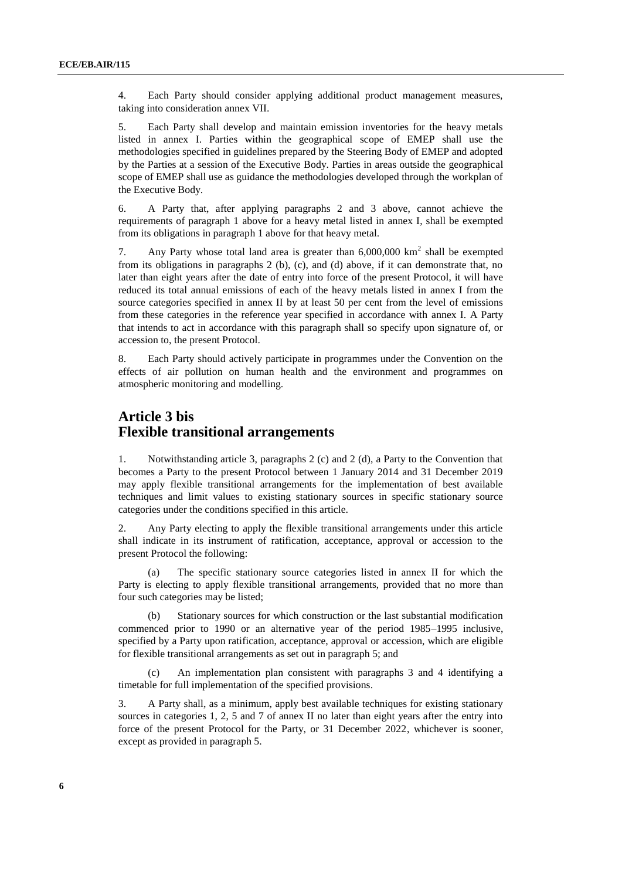4. Each Party should consider applying additional product management measures, taking into consideration [annex VII.](file://UNECE-DATA/DATA/GROUPS/EHLM/APT/WGSR/WGSR%20sessions/WGSR50_2012/DOCUMENTS/WGSR50friday/UNECE-DATADATAGROUPSEnhsWEB%20PAGESenvlrtapprotocol98hm_aannex7.htm)

5. Each Party shall develop and maintain emission inventories for the heavy metals listed in annex I. Parties within the geographical scope of EMEP shall use the methodologies specified in guidelines prepared by the Steering Body of EMEP and adopted by the Parties at a session of the Executive Body. Parties in areas outside the geographical scope of EMEP shall use as guidance the methodologies developed through the workplan of the Executive Body.

6. A Party that, after applying paragraphs 2 and 3 above, cannot achieve the requirements of paragraph 1 above for a heavy metal listed in [annex I,](file://UNECE-DATA/DATA/GROUPS/EHLM/APT/WGSR/WGSR%20sessions/WGSR50_2012/DOCUMENTS/WGSR50friday/UNECE-DATADATAGROUPSEnhsWEB%20PAGESenvlrtapprotocol98hm_aannex1.htm) shall be exempted from its obligations in paragraph 1 above for that heavy metal.

7. Any Party whose total land area is greater than  $6,000,000 \text{ km}^2$  shall be exempted from its obligations in paragraphs 2 (b), (c), and (d) above, if it can demonstrate that, no later than eight years after the date of entry into force of the present Protocol, it will have reduced its total annual emissions of each of the heavy metals listed in [annex I](file://UNECE-DATA/DATA/GROUPS/EHLM/APT/WGSR/WGSR%20sessions/WGSR50_2012/DOCUMENTS/WGSR50friday/UNECE-DATADATAGROUPSEnhsWEB%20PAGESenvlrtapprotocol98hm_aannex1.htm) from the source categories specified in [annex II](file://UNECE-DATA/DATA/GROUPS/EHLM/APT/WGSR/WGSR%20sessions/WGSR50_2012/DOCUMENTS/WGSR50friday/UNECE-DATADATAGROUPSEnhsWEB%20PAGESenvlrtapprotocol98hm_aannex2.htm) by at least 50 per cent from the level of emissions from these categories in the reference year specified in accordance with [annex I.](file://UNECE-DATA/DATA/GROUPS/EHLM/APT/WGSR/WGSR%20sessions/WGSR50_2012/DOCUMENTS/WGSR50friday/UNECE-DATADATAGROUPSEnhsWEB%20PAGESenvlrtapprotocol98hm_aannex1.htm) A Party that intends to act in accordance with this paragraph shall so specify upon signature of, or accession to, the present Protocol.

8. Each Party should actively participate in programmes under the Convention on the effects of air pollution on human health and the environment and programmes on atmospheric monitoring and modelling.

### **Article 3 bis Flexible transitional arrangements**

1. Notwithstanding article 3, paragraphs 2 (c) and 2 (d), a Party to the Convention that becomes a Party to the present Protocol between 1 January 2014 and 31 December 2019 may apply flexible transitional arrangements for the implementation of best available techniques and limit values to existing stationary sources in specific stationary source categories under the conditions specified in this article.

2. Any Party electing to apply the flexible transitional arrangements under this article shall indicate in its instrument of ratification, acceptance, approval or accession to the present Protocol the following:

(a) The specific stationary source categories listed in annex II for which the Party is electing to apply flexible transitional arrangements, provided that no more than four such categories may be listed;

(b) Stationary sources for which construction or the last substantial modification commenced prior to 1990 or an alternative year of the period 1985–1995 inclusive, specified by a Party upon ratification, acceptance, approval or accession, which are eligible for flexible transitional arrangements as set out in paragraph 5; and

(c) An implementation plan consistent with paragraphs 3 and 4 identifying a timetable for full implementation of the specified provisions.

3. A Party shall, as a minimum, apply best available techniques for existing stationary sources in categories 1, 2, 5 and 7 of annex II no later than eight years after the entry into force of the present Protocol for the Party, or 31 December 2022, whichever is sooner, except as provided in paragraph 5.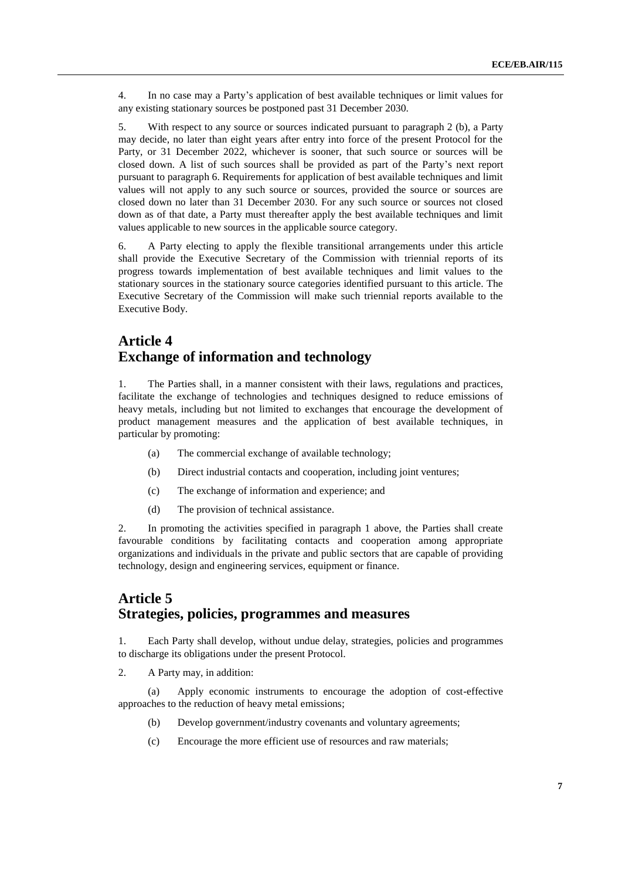4. In no case may a Party's application of best available techniques or limit values for any existing stationary sources be postponed past 31 December 2030.

5. With respect to any source or sources indicated pursuant to paragraph 2 (b), a Party may decide, no later than eight years after entry into force of the present Protocol for the Party, or 31 December 2022, whichever is sooner, that such source or sources will be closed down. A list of such sources shall be provided as part of the Party's next report pursuant to paragraph 6. Requirements for application of best available techniques and limit values will not apply to any such source or sources, provided the source or sources are closed down no later than 31 December 2030. For any such source or sources not closed down as of that date, a Party must thereafter apply the best available techniques and limit values applicable to new sources in the applicable source category.

6. A Party electing to apply the flexible transitional arrangements under this article shall provide the Executive Secretary of the Commission with triennial reports of its progress towards implementation of best available techniques and limit values to the stationary sources in the stationary source categories identified pursuant to this article. The Executive Secretary of the Commission will make such triennial reports available to the Executive Body.

### **Article 4 Exchange of information and technology**

1. The Parties shall, in a manner consistent with their laws, regulations and practices, facilitate the exchange of technologies and techniques designed to reduce emissions of heavy metals, including but not limited to exchanges that encourage the development of product management measures and the application of best available techniques, in particular by promoting:

- (a) The commercial exchange of available technology;
- (b) Direct industrial contacts and cooperation, including joint ventures;
- (c) The exchange of information and experience; and
- (d) The provision of technical assistance.

2. In promoting the activities specified in paragraph 1 above, the Parties shall create favourable conditions by facilitating contacts and cooperation among appropriate organizations and individuals in the private and public sectors that are capable of providing technology, design and engineering services, equipment or finance.

## **Article 5 Strategies, policies, programmes and measures**

1. Each Party shall develop, without undue delay, strategies, policies and programmes to discharge its obligations under the present Protocol.

2. A Party may, in addition:

(a) Apply economic instruments to encourage the adoption of cost-effective approaches to the reduction of heavy metal emissions;

- (b) Develop government/industry covenants and voluntary agreements;
- (c) Encourage the more efficient use of resources and raw materials;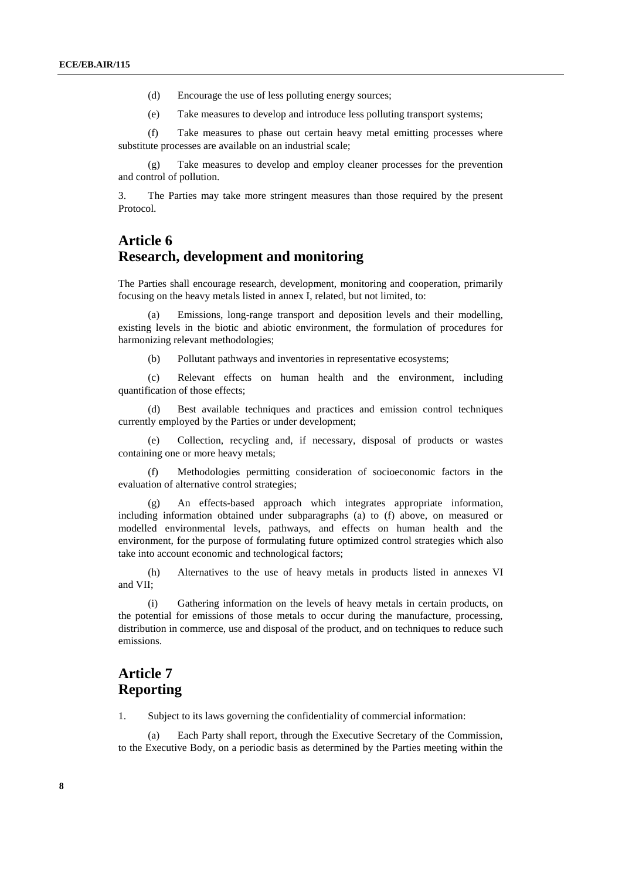- (d) Encourage the use of less polluting energy sources;
- (e) Take measures to develop and introduce less polluting transport systems;

(f) Take measures to phase out certain heavy metal emitting processes where substitute processes are available on an industrial scale;

(g) Take measures to develop and employ cleaner processes for the prevention and control of pollution.

3. The Parties may take more stringent measures than those required by the present Protocol.

### **Article 6 Research, development and monitoring**

The Parties shall encourage research, development, monitoring and cooperation, primarily focusing on the heavy metals listed in [annex I,](file://UNECE-DATA/DATA/GROUPS/EHLM/APT/WGSR/WGSR%20sessions/WGSR50_2012/DOCUMENTS/WGSR50friday/UNECE-DATADATAGROUPSEnhsWEB%20PAGESenvlrtapprotocol98hm_aannex1.htm) related, but not limited, to:

Emissions, long-range transport and deposition levels and their modelling, existing levels in the biotic and abiotic environment, the formulation of procedures for harmonizing relevant methodologies;

(b) Pollutant pathways and inventories in representative ecosystems;

(c) Relevant effects on human health and the environment, including quantification of those effects;

(d) Best available techniques and practices and emission control techniques currently employed by the Parties or under development;

(e) Collection, recycling and, if necessary, disposal of products or wastes containing one or more heavy metals;

(f) Methodologies permitting consideration of socioeconomic factors in the evaluation of alternative control strategies;

(g) An effects-based approach which integrates appropriate information, including information obtained under subparagraphs (a) to (f) above, on measured or modelled environmental levels, pathways, and effects on human health and the environment, for the purpose of formulating future optimized control strategies which also take into account economic and technological factors;

(h) Alternatives to the use of heavy metals in products listed in [annexes VI](file://UNECE-DATA/DATA/GROUPS/EHLM/APT/WGSR/WGSR%20sessions/WGSR50_2012/DOCUMENTS/WGSR50friday/UNECE-DATADATAGROUPSEnhsWEB%20PAGESenvlrtapprotocol98hm_aannex5.htm) and [VII;](file://UNECE-DATA/DATA/GROUPS/EHLM/APT/WGSR/WGSR%20sessions/WGSR50_2012/DOCUMENTS/WGSR50friday/UNECE-DATADATAGROUPSEnhsWEB%20PAGESenvlrtapprotocol98hm_aannex7.htm)

Gathering information on the levels of heavy metals in certain products, on the potential for emissions of those metals to occur during the manufacture, processing, distribution in commerce, use and disposal of the product, and on techniques to reduce such emissions.

### **Article 7 Reporting**

1. Subject to its laws governing the confidentiality of commercial information:

(a) Each Party shall report, through the Executive Secretary of the Commission, to the Executive Body, on a periodic basis as determined by the Parties meeting within the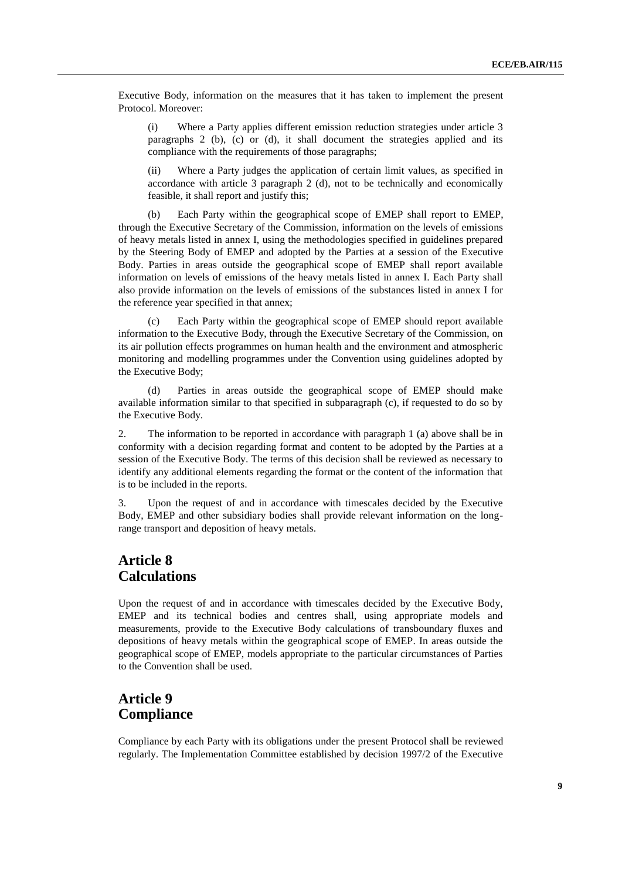Executive Body, information on the measures that it has taken to implement the present Protocol. Moreover:

(i) Where a Party applies different emission reduction strategies under article 3 paragraphs 2 (b), (c) or (d), it shall document the strategies applied and its compliance with the requirements of those paragraphs;

(ii) Where a Party judges the application of certain limit values, as specified in accordance with article 3 paragraph 2 (d), not to be technically and economically feasible, it shall report and justify this;

(b) Each Party within the geographical scope of EMEP shall report to EMEP, through the Executive Secretary of the Commission, information on the levels of emissions of heavy metals listed in annex I, using the methodologies specified in guidelines prepared by the Steering Body of EMEP and adopted by the Parties at a session of the Executive Body. Parties in areas outside the geographical scope of EMEP shall report available information on levels of emissions of the heavy metals listed in annex I. Each Party shall also provide information on the levels of emissions of the substances listed in annex I for the reference year specified in that annex;

(c) Each Party within the geographical scope of EMEP should report available information to the Executive Body, through the Executive Secretary of the Commission, on its air pollution effects programmes on human health and the environment and atmospheric monitoring and modelling programmes under the Convention using guidelines adopted by the Executive Body;

(d) Parties in areas outside the geographical scope of EMEP should make available information similar to that specified in subparagraph (c), if requested to do so by the Executive Body.

2. The information to be reported in accordance with paragraph 1 (a) above shall be in conformity with a decision regarding format and content to be adopted by the Parties at a session of the Executive Body. The terms of this decision shall be reviewed as necessary to identify any additional elements regarding the format or the content of the information that is to be included in the reports.

3. Upon the request of and in accordance with timescales decided by the Executive Body, EMEP and other subsidiary bodies shall provide relevant information on the longrange transport and deposition of heavy metals.

### **Article 8 Calculations**

Upon the request of and in accordance with timescales decided by the Executive Body, EMEP and its technical bodies and centres shall, using appropriate models and measurements, provide to the Executive Body calculations of transboundary fluxes and depositions of heavy metals within the geographical scope of EMEP. In areas outside the geographical scope of EMEP, models appropriate to the particular circumstances of Parties to the Convention shall be used.

## **Article 9 Compliance**

Compliance by each Party with its obligations under the present Protocol shall be reviewed regularly. The Implementation Committee established by [decision 1997/2 of the Executive](file://UNECE-DATA/DATA/GROUPS/EHLM/APT/WGSR/WGSR%20sessions/WGSR50_2012/DOCUMENTS/WGSR50friday/UNECE-DATADATAGROUPSEnhsWEB%20PAGESenvlrtapconvreporte_b_53_A3.HTM)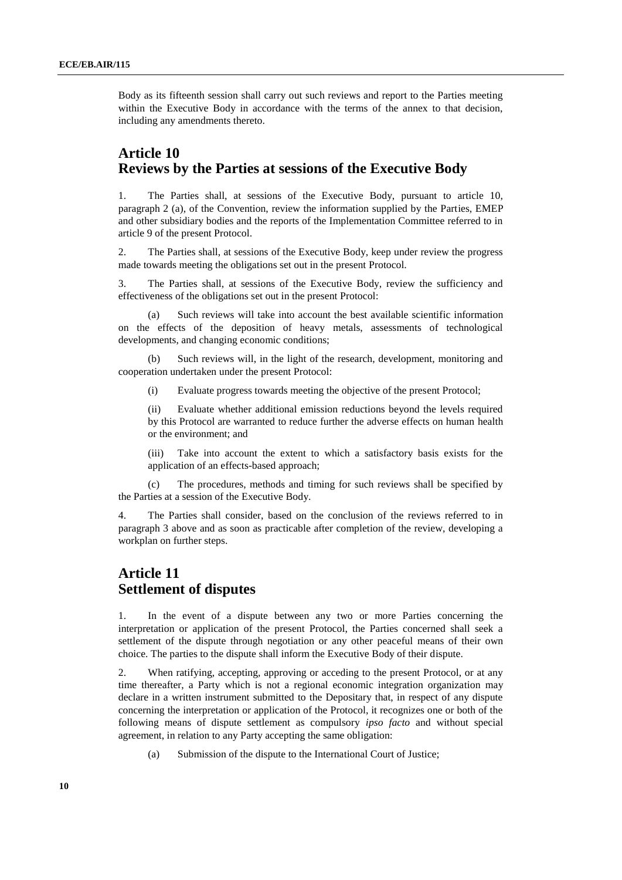[Body](file://UNECE-DATA/DATA/GROUPS/EHLM/APT/WGSR/WGSR%20sessions/WGSR50_2012/DOCUMENTS/WGSR50friday/UNECE-DATADATAGROUPSEnhsWEB%20PAGESenvlrtapconvreporte_b_53_A3.HTM) as its fifteenth session shall carry out such reviews and report to the Parties meeting within the Executive Body in accordance with the terms of the annex to that decision, including any amendments thereto.

### **Article 10 Reviews by the Parties at sessions of the Executive Body**

1. The Parties shall, at sessions of the Executive Body, pursuant to article 10, paragraph 2 (a), of the Convention, review the information supplied by the Parties, EMEP and other subsidiary bodies and the reports of the Implementation Committee referred to in article 9 of the present Protocol.

2. The Parties shall, at sessions of the Executive Body, keep under review the progress made towards meeting the obligations set out in the present Protocol.

3. The Parties shall, at sessions of the Executive Body, review the sufficiency and effectiveness of the obligations set out in the present Protocol:

(a) Such reviews will take into account the best available scientific information on the effects of the deposition of heavy metals, assessments of technological developments, and changing economic conditions;

(b) Such reviews will, in the light of the research, development, monitoring and cooperation undertaken under the present Protocol:

(i) Evaluate progress towards meeting the objective of the present Protocol;

(ii) Evaluate whether additional emission reductions beyond the levels required by this Protocol are warranted to reduce further the adverse effects on human health or the environment; and

(iii) Take into account the extent to which a satisfactory basis exists for the application of an effects-based approach;

(c) The procedures, methods and timing for such reviews shall be specified by the Parties at a session of the Executive Body.

4. The Parties shall consider, based on the conclusion of the reviews referred to in paragraph 3 above and as soon as practicable after completion of the review, developing a workplan on further steps.

### **Article 11 Settlement of disputes**

1. In the event of a dispute between any two or more Parties concerning the interpretation or application of the present Protocol, the Parties concerned shall seek a settlement of the dispute through negotiation or any other peaceful means of their own choice. The parties to the dispute shall inform the Executive Body of their dispute.

2. When ratifying, accepting, approving or acceding to the present Protocol, or at any time thereafter, a Party which is not a regional economic integration organization may declare in a written instrument submitted to the Depositary that, in respect of any dispute concerning the interpretation or application of the Protocol, it recognizes one or both of the following means of dispute settlement as compulsory *ipso facto* and without special agreement, in relation to any Party accepting the same obligation:

(a) Submission of the dispute to the International Court of Justice;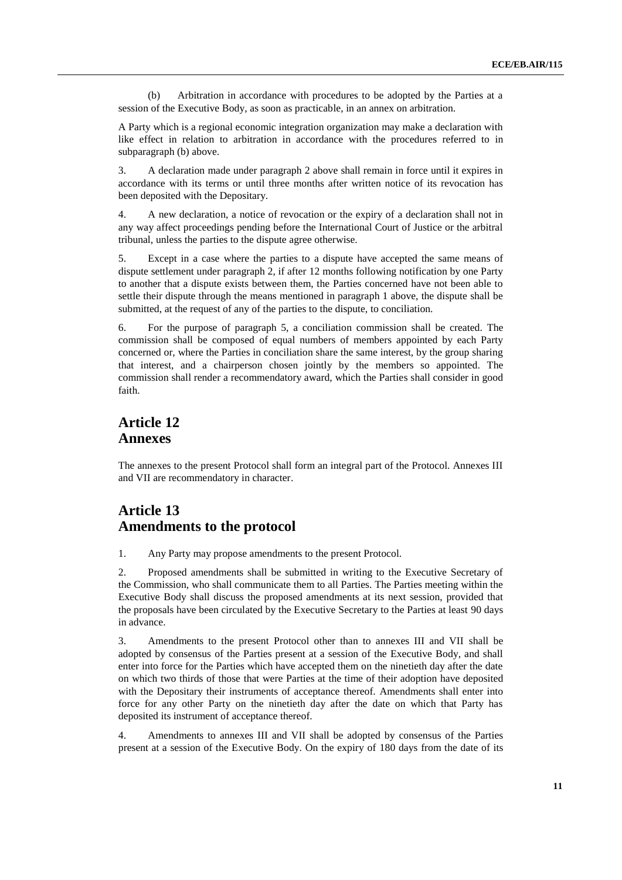(b) Arbitration in accordance with procedures to be adopted by the Parties at a session of the Executive Body, as soon as practicable, in an annex on arbitration.

A Party which is a regional economic integration organization may make a declaration with like effect in relation to arbitration in accordance with the procedures referred to in subparagraph (b) above.

3. A declaration made under paragraph 2 above shall remain in force until it expires in accordance with its terms or until three months after written notice of its revocation has been deposited with the Depositary.

4. A new declaration, a notice of revocation or the expiry of a declaration shall not in any way affect proceedings pending before the International Court of Justice or the arbitral tribunal, unless the parties to the dispute agree otherwise.

5. Except in a case where the parties to a dispute have accepted the same means of dispute settlement under paragraph 2, if after 12 months following notification by one Party to another that a dispute exists between them, the Parties concerned have not been able to settle their dispute through the means mentioned in paragraph 1 above, the dispute shall be submitted, at the request of any of the parties to the dispute, to conciliation.

6. For the purpose of paragraph 5, a conciliation commission shall be created. The commission shall be composed of equal numbers of members appointed by each Party concerned or, where the Parties in conciliation share the same interest, by the group sharing that interest, and a chairperson chosen jointly by the members so appointed. The commission shall render a recommendatory award, which the Parties shall consider in good faith.

## **Article 12 Annexes**

The annexes to the present Protocol shall form an integral part of the Protocol. Annexes III and [VII](file://UNECE-DATA/DATA/GROUPS/EHLM/APT/WGSR/WGSR%20sessions/WGSR50_2012/DOCUMENTS/WGSR50friday/UNECE-DATADATAGROUPSEnhsWEB%20PAGESenvlrtapprotocol98hm_aannex7.htm) are recommendatory in character.

## **Article 13 Amendments to the protocol**

1. Any Party may propose amendments to the present Protocol.

2. Proposed amendments shall be submitted in writing to the Executive Secretary of the Commission, who shall communicate them to all Parties. The Parties meeting within the Executive Body shall discuss the proposed amendments at its next session, provided that the proposals have been circulated by the Executive Secretary to the Parties at least 90 days in advance.

3. Amendments to the present Protocol other than to annexes III and VII shall be adopted by consensus of the Parties present at a session of the Executive Body, and shall enter into force for the Parties which have accepted them on the ninetieth day after the date on which two thirds of those that were Parties at the time of their adoption have deposited with the Depositary their instruments of acceptance thereof. Amendments shall enter into force for any other Party on the ninetieth day after the date on which that Party has deposited its instrument of acceptance thereof.

4. Amendments to [annexes III](file://UNECE-DATA/DATA/GROUPS/EHLM/APT/WGSR/WGSR%20sessions/WGSR50_2012/DOCUMENTS/WGSR50friday/UNECE-DATADATAGROUPSEnhsWEB%20PAGESenvlrtapprotocol98hm_aannex3.htm) and [VII](file://UNECE-DATA/DATA/GROUPS/EHLM/APT/WGSR/WGSR%20sessions/WGSR50_2012/DOCUMENTS/WGSR50friday/UNECE-DATADATAGROUPSEnhsWEB%20PAGESenvlrtapprotocol98hm_aannex7.htm) shall be adopted by consensus of the Parties present at a session of the Executive Body. On the expiry of 180 days from the date of its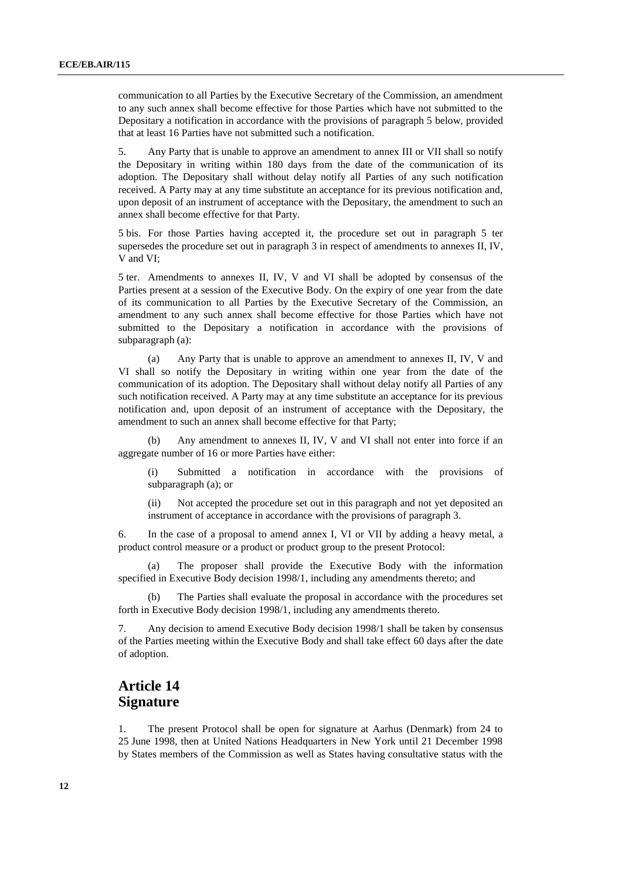communication to all Parties by the Executive Secretary of the Commission, an amendment to any such annex shall become effective for those Parties which have not submitted to the Depositary a notification in accordance with the provisions of paragraph 5 below, provided that at least 16 Parties have not submitted such a notification.

5. Any Party that is unable to approve an amendment to [annex III](file://UNECE-DATA/DATA/GROUPS/EHLM/APT/WGSR/WGSR%20sessions/WGSR50_2012/DOCUMENTS/WGSR50friday/UNECE-DATADATAGROUPSEnhsWEB%20PAGESenvlrtapprotocol98hm_aannex3.htm) o[r VII](file://UNECE-DATA/DATA/GROUPS/EHLM/APT/WGSR/WGSR%20sessions/WGSR50_2012/DOCUMENTS/WGSR50friday/UNECE-DATADATAGROUPSEnhsWEB%20PAGESenvlrtapprotocol98hm_aannex7.htm) shall so notify the Depositary in writing within 180 days from the date of the communication of its adoption. The Depositary shall without delay notify all Parties of any such notification received. A Party may at any time substitute an acceptance for its previous notification and, upon deposit of an instrument of acceptance with the Depositary, the amendment to such an annex shall become effective for that Party.

5 bis. For those Parties having accepted it, the procedure set out in paragraph 5 ter supersedes the procedure set out in paragraph 3 in respect of amendments to annexes II, IV, V and VI;

5 ter. Amendments to annexes II, IV, V and VI shall be adopted by consensus of the Parties present at a session of the Executive Body. On the expiry of one year from the date of its communication to all Parties by the Executive Secretary of the Commission, an amendment to any such annex shall become effective for those Parties which have not submitted to the Depositary a notification in accordance with the provisions of subparagraph (a):

(a) Any Party that is unable to approve an amendment to annexes II, IV, V and VI shall so notify the Depositary in writing within one year from the date of the communication of its adoption. The Depositary shall without delay notify all Parties of any such notification received. A Party may at any time substitute an acceptance for its previous notification and, upon deposit of an instrument of acceptance with the Depositary, the amendment to such an annex shall become effective for that Party;

(b) Any amendment to annexes II, IV, V and VI shall not enter into force if an aggregate number of 16 or more Parties have either:

(i) Submitted a notification in accordance with the provisions of subparagraph (a); or

(ii) Not accepted the procedure set out in this paragraph and not yet deposited an instrument of acceptance in accordance with the provisions of paragraph 3.

6. In the case of a proposal to amend [annex I,](file://UNECE-DATA/DATA/GROUPS/EHLM/APT/WGSR/WGSR%20sessions/WGSR50_2012/DOCUMENTS/WGSR50friday/UNECE-DATADATAGROUPSEnhsWEB%20PAGESenvlrtapprotocol98hm_aannex1.htm) [VI o](file://UNECE-DATA/DATA/GROUPS/EHLM/APT/WGSR/WGSR%20sessions/WGSR50_2012/DOCUMENTS/WGSR50friday/UNECE-DATADATAGROUPSEnhsWEB%20PAGESenvlrtapprotocol98hm_aannex5.htm)r [VII](file://UNECE-DATA/DATA/GROUPS/EHLM/APT/WGSR/WGSR%20sessions/WGSR50_2012/DOCUMENTS/WGSR50friday/UNECE-DATADATAGROUPSEnhsWEB%20PAGESenvlrtapprotocol98hm_aannex7.htm) by adding a heavy metal, a product control measure or a product or product group to the present Protocol:

(a) The proposer shall provide the Executive Body with the information specified in [Executive Body decision 1998/1,](file://UNECE-DATA/DATA/GROUPS/EHLM/APT/WGSR/WGSR%20sessions/WGSR50_2012/DOCUMENTS/WGSR50friday/UNECE-DATADATAGROUPSEnhsWEB%20PAGESenvlrtapprotocol98h_dec.htm) including any amendments thereto; and

(b) The Parties shall evaluate the proposal in accordance with the procedures set forth in [Executive Body decision 1998/1,](file://UNECE-DATA/DATA/GROUPS/EHLM/APT/WGSR/WGSR%20sessions/WGSR50_2012/DOCUMENTS/WGSR50friday/UNECE-DATADATAGROUPSEnhsWEB%20PAGESenvlrtapprotocol98h_dec.htm) including any amendments thereto.

7. Any decision to amend [Executive Body decision 1998/1](file://UNECE-DATA/DATA/GROUPS/EHLM/APT/WGSR/WGSR%20sessions/WGSR50_2012/DOCUMENTS/WGSR50friday/UNECE-DATADATAGROUPSEnhsWEB%20PAGESenvlrtapprotocol98h_dec.htm) shall be taken by consensus of the Parties meeting within the Executive Body and shall take effect 60 days after the date of adoption.

### **Article 14 Signature**

1. The present Protocol shall be open for signature at Aarhus (Denmark) from 24 to 25 June 1998, then at United Nations Headquarters in New York until 21 December 1998 by States members of the Commission as well as States having consultative status with the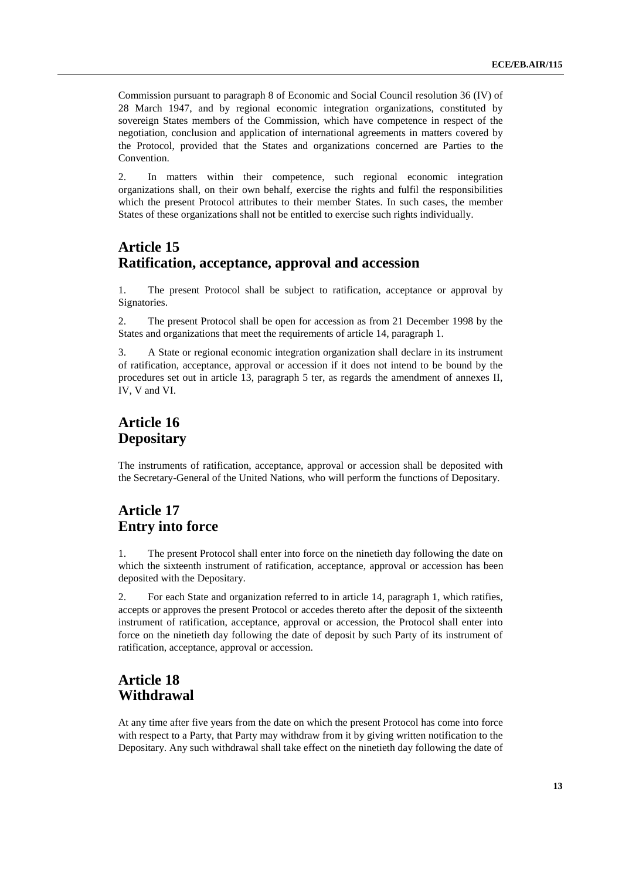Commission pursuant to paragraph 8 of Economic and Social Council resolution 36 (IV) of 28 March 1947, and by regional economic integration organizations, constituted by sovereign States members of the Commission, which have competence in respect of the negotiation, conclusion and application of international agreements in matters covered by the Protocol, provided that the States and organizations concerned are Parties to the Convention.

2. In matters within their competence, such regional economic integration organizations shall, on their own behalf, exercise the rights and fulfil the responsibilities which the present Protocol attributes to their member States. In such cases, the member States of these organizations shall not be entitled to exercise such rights individually.

## **Article 15 Ratification, acceptance, approval and accession**

1. The present Protocol shall be subject to ratification, acceptance or approval by Signatories.

2. The present Protocol shall be open for accession as from 21 December 1998 by the States and organizations that meet the requirements of article 14, paragraph 1.

3. A State or regional economic integration organization shall declare in its instrument of ratification, acceptance, approval or accession if it does not intend to be bound by the procedures set out in article 13, paragraph 5 ter, as regards the amendment of annexes II, IV, V and VI.

## **Article 16 Depositary**

The instruments of ratification, acceptance, approval or accession shall be deposited with the Secretary-General of the United Nations, who will perform the functions of Depositary.

## **Article 17 Entry into force**

1. The present Protocol shall enter into force on the ninetieth day following the date on which the sixteenth instrument of ratification, acceptance, approval or accession has been deposited with the Depositary.

2. For each State and organization referred to in article 14, paragraph 1, which ratifies, accepts or approves the present Protocol or accedes thereto after the deposit of the sixteenth instrument of ratification, acceptance, approval or accession, the Protocol shall enter into force on the ninetieth day following the date of deposit by such Party of its instrument of ratification, acceptance, approval or accession.

## **Article 18 Withdrawal**

At any time after five years from the date on which the present Protocol has come into force with respect to a Party, that Party may withdraw from it by giving written notification to the Depositary. Any such withdrawal shall take effect on the ninetieth day following the date of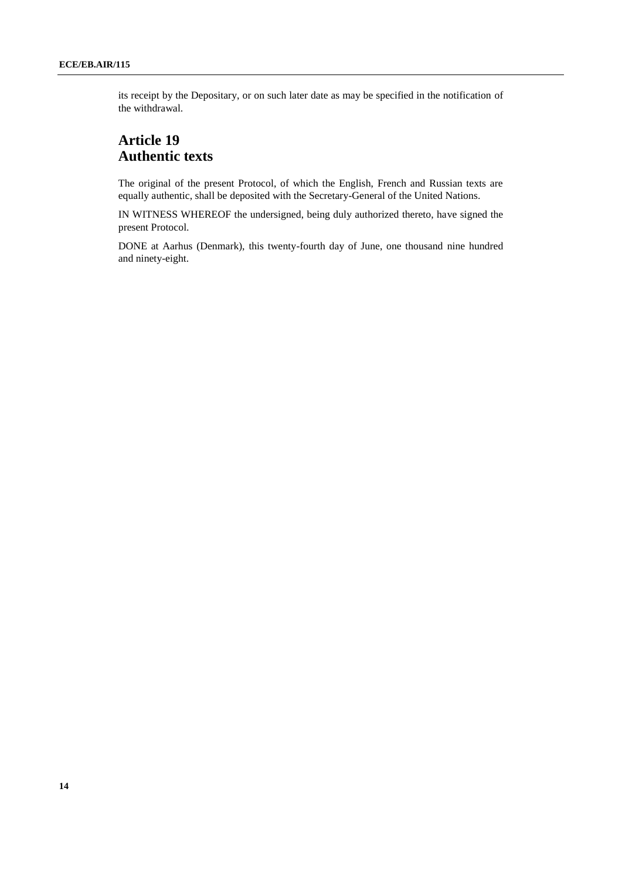its receipt by the Depositary, or on such later date as may be specified in the notification of the withdrawal.

## **Article 19 Authentic texts**

The original of the present Protocol, of which the English, French and Russian texts are equally authentic, shall be deposited with the Secretary-General of the United Nations.

IN WITNESS WHEREOF the undersigned, being duly authorized thereto, have signed the present Protocol.

DONE at Aarhus (Denmark), this twenty-fourth day of June, one thousand nine hundred and ninety-eight.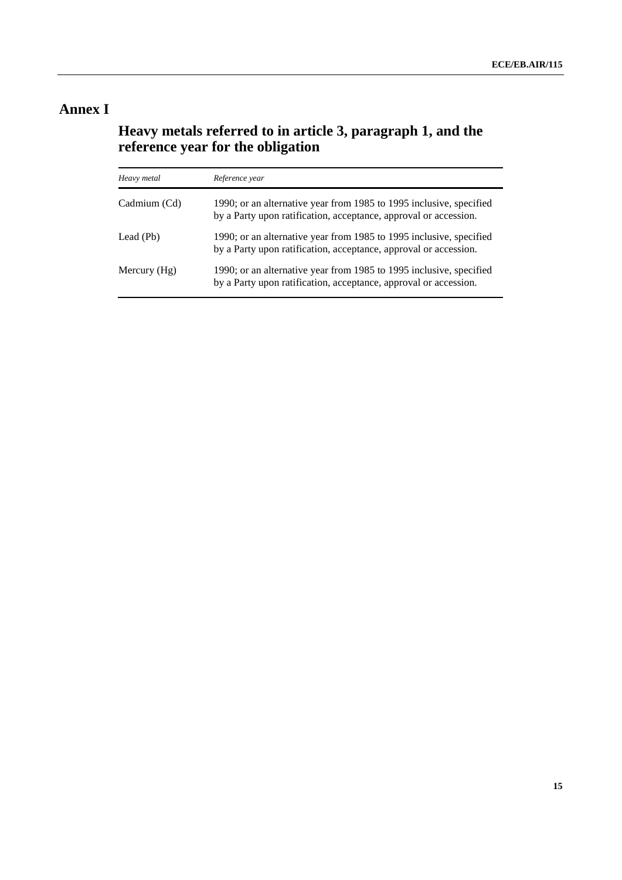## **Annex I**

### **Heavy metals referred to in article 3, paragraph 1, and the reference year for the obligation**

| Heavy metal    | Reference year                                                                                                                          |
|----------------|-----------------------------------------------------------------------------------------------------------------------------------------|
| Cadmium (Cd)   | 1990; or an alternative year from 1985 to 1995 inclusive, specified<br>by a Party upon ratification, acceptance, approval or accession. |
| Lead (Pb)      | 1990; or an alternative year from 1985 to 1995 inclusive, specified<br>by a Party upon ratification, acceptance, approval or accession. |
| Mercury $(Hg)$ | 1990; or an alternative year from 1985 to 1995 inclusive, specified<br>by a Party upon ratification, acceptance, approval or accession. |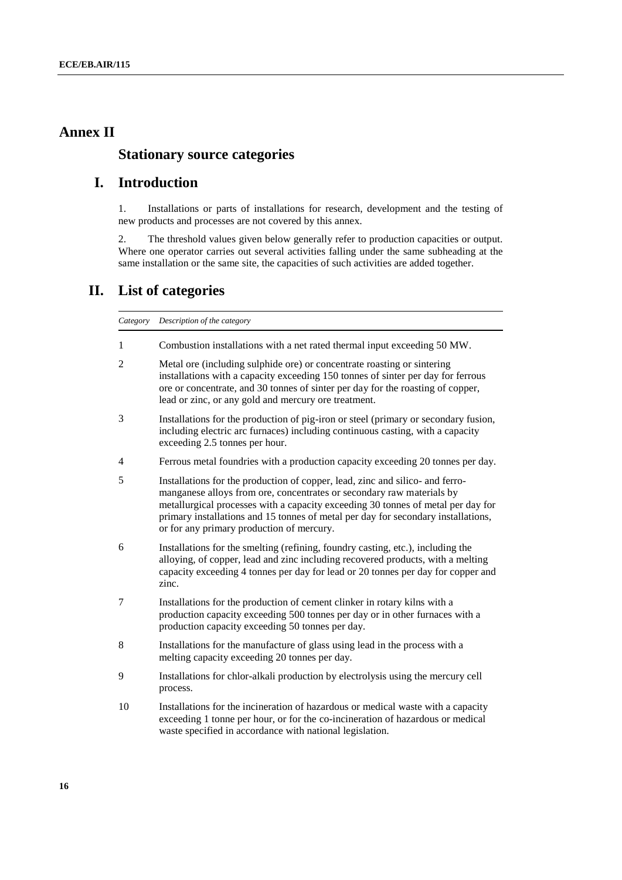### **Annex II**

#### **Stationary source categories**

### **I. Introduction**

1. Installations or parts of installations for research, development and the testing of new products and processes are not covered by this annex.

2. The threshold values given below generally refer to production capacities or output. Where one operator carries out several activities falling under the same subheading at the same installation or the same site, the capacities of such activities are added together.

#### **II. List of categories**

*Category Description of the category*

- 1 Combustion installations with a net rated thermal input exceeding 50 MW.
- 2 Metal ore (including sulphide ore) or concentrate roasting or sintering installations with a capacity exceeding 150 tonnes of sinter per day for ferrous ore or concentrate, and 30 tonnes of sinter per day for the roasting of copper, lead or zinc, or any gold and mercury ore treatment.
- 3 Installations for the production of pig-iron or steel (primary or secondary fusion, including electric arc furnaces) including continuous casting, with a capacity exceeding 2.5 tonnes per hour.
- 4 Ferrous metal foundries with a production capacity exceeding 20 tonnes per day.
- 5 Installations for the production of copper, lead, zinc and silico- and ferromanganese alloys from ore, concentrates or secondary raw materials by metallurgical processes with a capacity exceeding 30 tonnes of metal per day for primary installations and 15 tonnes of metal per day for secondary installations, or for any primary production of mercury.
- 6 Installations for the smelting (refining, foundry casting, etc.), including the alloying, of copper, lead and zinc including recovered products, with a melting capacity exceeding 4 tonnes per day for lead or 20 tonnes per day for copper and zinc.
- 7 Installations for the production of cement clinker in rotary kilns with a production capacity exceeding 500 tonnes per day or in other furnaces with a production capacity exceeding 50 tonnes per day.
- 8 Installations for the manufacture of glass using lead in the process with a melting capacity exceeding 20 tonnes per day.
- 9 Installations for chlor-alkali production by electrolysis using the mercury cell process.
- 10 Installations for the incineration of hazardous or medical waste with a capacity exceeding 1 tonne per hour, or for the co-incineration of hazardous or medical waste specified in accordance with national legislation.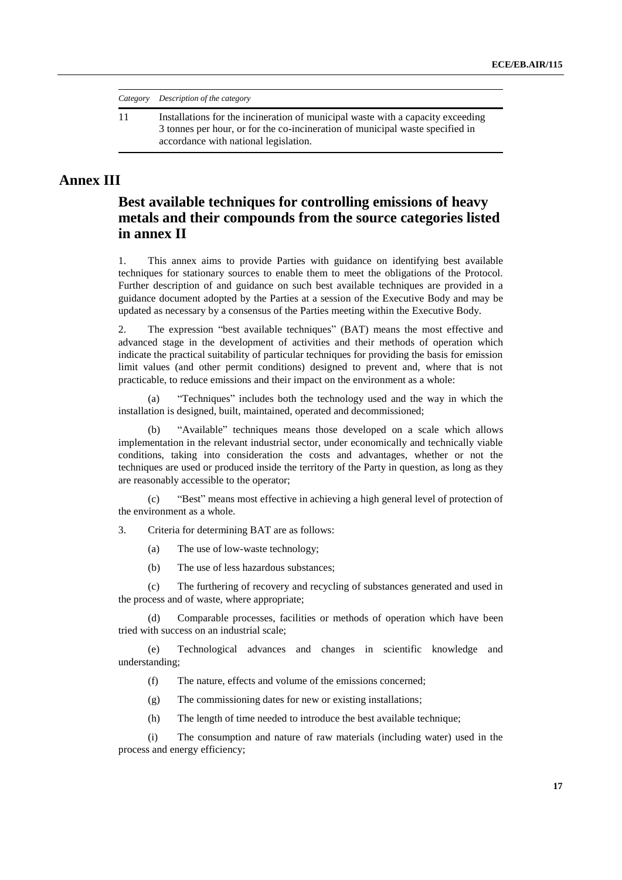*Category Description of the category*

11 Installations for the incineration of municipal waste with a capacity exceeding 3 tonnes per hour, or for the co-incineration of municipal waste specified in accordance with national legislation.

### **Annex III**

### **Best available techniques for controlling emissions of heavy metals and their compounds from the source categories listed in [annex II](file://UNECE-DATA/DATA/GROUPS/EHLM/APT/WGSR/WGSR%20sessions/WGSR50_2012/DOCUMENTS/WGSR50friday/UNECE-DATADATAGROUPSEnhsWEB%20PAGESenvlrtapprotocol98hm_aannex2.htm)**

1. This annex aims to provide Parties with guidance on identifying best available techniques for stationary sources to enable them to meet the obligations of the Protocol. Further description of and guidance on such best available techniques are provided in a guidance document adopted by the Parties at a session of the Executive Body and may be updated as necessary by a consensus of the Parties meeting within the Executive Body.

2. The expression "best available techniques" (BAT) means the most effective and advanced stage in the development of activities and their methods of operation which indicate the practical suitability of particular techniques for providing the basis for emission limit values (and other permit conditions) designed to prevent and, where that is not practicable, to reduce emissions and their impact on the environment as a whole:

"Techniques" includes both the technology used and the way in which the installation is designed, built, maintained, operated and decommissioned;

(b) "Available" techniques means those developed on a scale which allows implementation in the relevant industrial sector, under economically and technically viable conditions, taking into consideration the costs and advantages, whether or not the techniques are used or produced inside the territory of the Party in question, as long as they are reasonably accessible to the operator;

(c) "Best" means most effective in achieving a high general level of protection of the environment as a whole.

3. Criteria for determining BAT are as follows:

- (a) The use of low-waste technology;
- (b) The use of less hazardous substances;

(c) The furthering of recovery and recycling of substances generated and used in the process and of waste, where appropriate;

(d) Comparable processes, facilities or methods of operation which have been tried with success on an industrial scale;

(e) Technological advances and changes in scientific knowledge and understanding;

- (f) The nature, effects and volume of the emissions concerned;
- (g) The commissioning dates for new or existing installations;
- (h) The length of time needed to introduce the best available technique;

(i) The consumption and nature of raw materials (including water) used in the process and energy efficiency;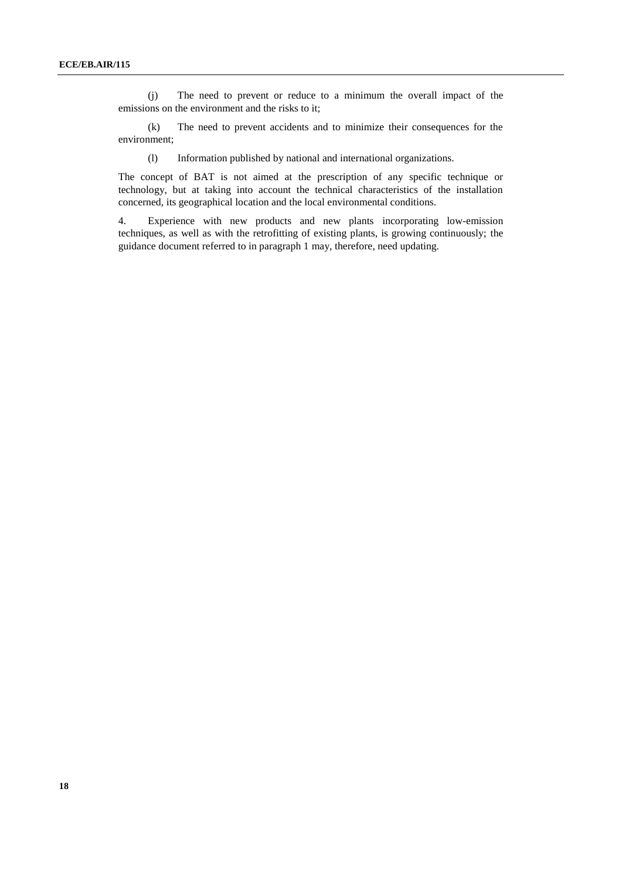(j) The need to prevent or reduce to a minimum the overall impact of the emissions on the environment and the risks to it;

(k) The need to prevent accidents and to minimize their consequences for the environment;

(l) Information published by national and international organizations.

The concept of BAT is not aimed at the prescription of any specific technique or technology, but at taking into account the technical characteristics of the installation concerned, its geographical location and the local environmental conditions.

4. Experience with new products and new plants incorporating low-emission techniques, as well as with the retrofitting of existing plants, is growing continuously; the guidance document referred to in paragraph 1 may, therefore, need updating.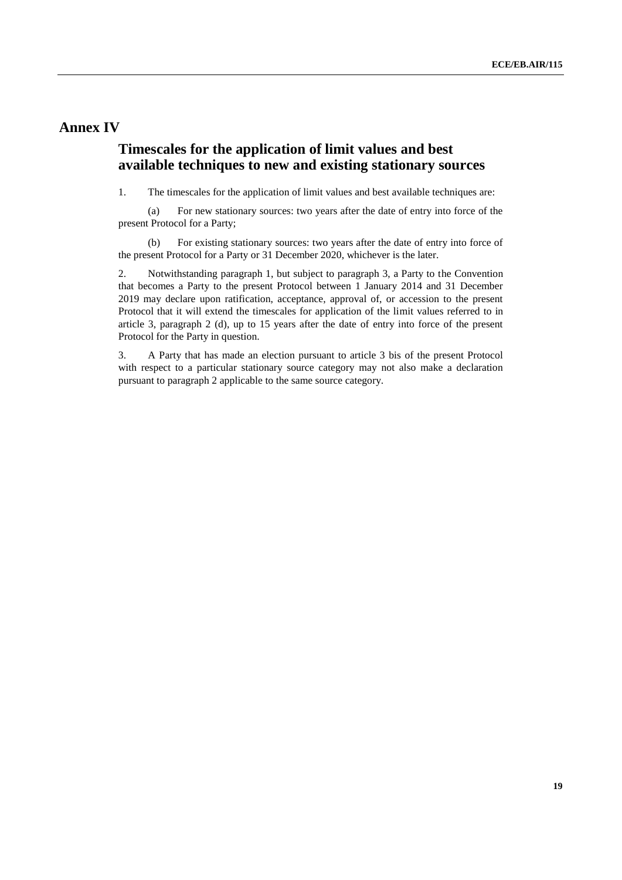#### **Annex IV**

### **Timescales for the application of limit values and best available techniques to new and existing stationary sources**

1. The timescales for the application of limit values and best available techniques are:

(a) For new stationary sources: two years after the date of entry into force of the present Protocol for a Party;

(b) For existing stationary sources: two years after the date of entry into force of the present Protocol for a Party or 31 December 2020, whichever is the later.

2. Notwithstanding paragraph 1, but subject to paragraph 3, a Party to the Convention that becomes a Party to the present Protocol between 1 January 2014 and 31 December 2019 may declare upon ratification, acceptance, approval of, or accession to the present Protocol that it will extend the timescales for application of the limit values referred to in article 3, paragraph 2 (d), up to 15 years after the date of entry into force of the present Protocol for the Party in question.

3. A Party that has made an election pursuant to article 3 bis of the present Protocol with respect to a particular stationary source category may not also make a declaration pursuant to paragraph 2 applicable to the same source category.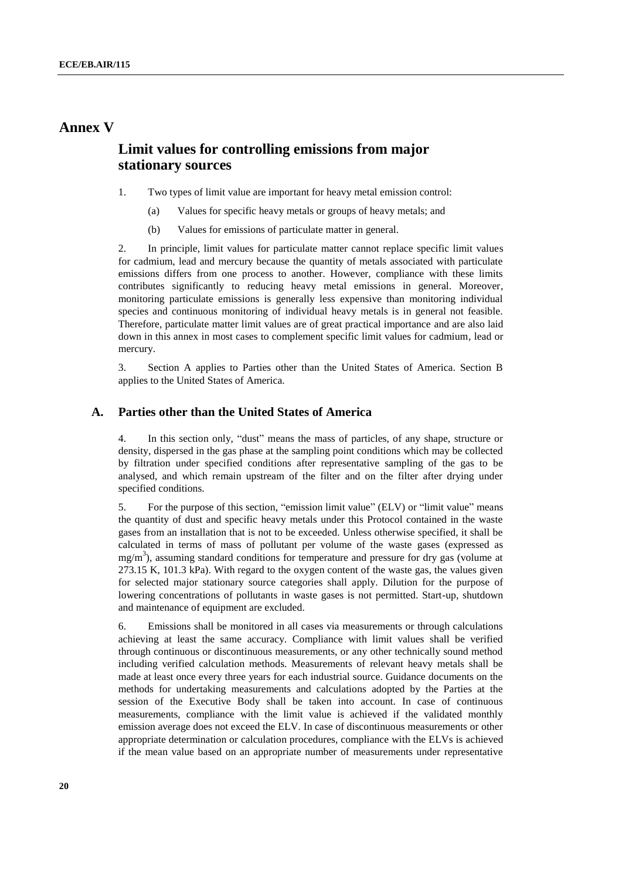#### **Annex V**

### **Limit values for controlling emissions from major stationary sources**

- 1. Two types of limit value are important for heavy metal emission control:
	- (a) Values for specific heavy metals or groups of heavy metals; and
	- (b) Values for emissions of particulate matter in general.

2. In principle, limit values for particulate matter cannot replace specific limit values for cadmium, lead and mercury because the quantity of metals associated with particulate emissions differs from one process to another. However, compliance with these limits contributes significantly to reducing heavy metal emissions in general. Moreover, monitoring particulate emissions is generally less expensive than monitoring individual species and continuous monitoring of individual heavy metals is in general not feasible. Therefore, particulate matter limit values are of great practical importance and are also laid down in this annex in most cases to complement specific limit values for cadmium, lead or mercury.

3. Section A applies to Parties other than the United States of America. Section B applies to the United States of America.

#### **A. Parties other than the United States of America**

4. In this section only, "dust" means the mass of particles, of any shape, structure or density, dispersed in the gas phase at the sampling point conditions which may be collected by filtration under specified conditions after representative sampling of the gas to be analysed, and which remain upstream of the filter and on the filter after drying under specified conditions.

5. For the purpose of this section, "emission limit value" (ELV) or "limit value" means the quantity of dust and specific heavy metals under this Protocol contained in the waste gases from an installation that is not to be exceeded. Unless otherwise specified, it shall be calculated in terms of mass of pollutant per volume of the waste gases (expressed as  $mg/m<sup>3</sup>$ ), assuming standard conditions for temperature and pressure for dry gas (volume at 273.15 K, 101.3 kPa). With regard to the oxygen content of the waste gas, the values given for selected major stationary source categories shall apply. Dilution for the purpose of lowering concentrations of pollutants in waste gases is not permitted. Start-up, shutdown and maintenance of equipment are excluded.

6. Emissions shall be monitored in all cases via measurements or through calculations achieving at least the same accuracy. Compliance with limit values shall be verified through continuous or discontinuous measurements, or any other technically sound method including verified calculation methods. Measurements of relevant heavy metals shall be made at least once every three years for each industrial source. Guidance documents on the methods for undertaking measurements and calculations adopted by the Parties at the session of the Executive Body shall be taken into account. In case of continuous measurements, compliance with the limit value is achieved if the validated monthly emission average does not exceed the ELV. In case of discontinuous measurements or other appropriate determination or calculation procedures, compliance with the ELVs is achieved if the mean value based on an appropriate number of measurements under representative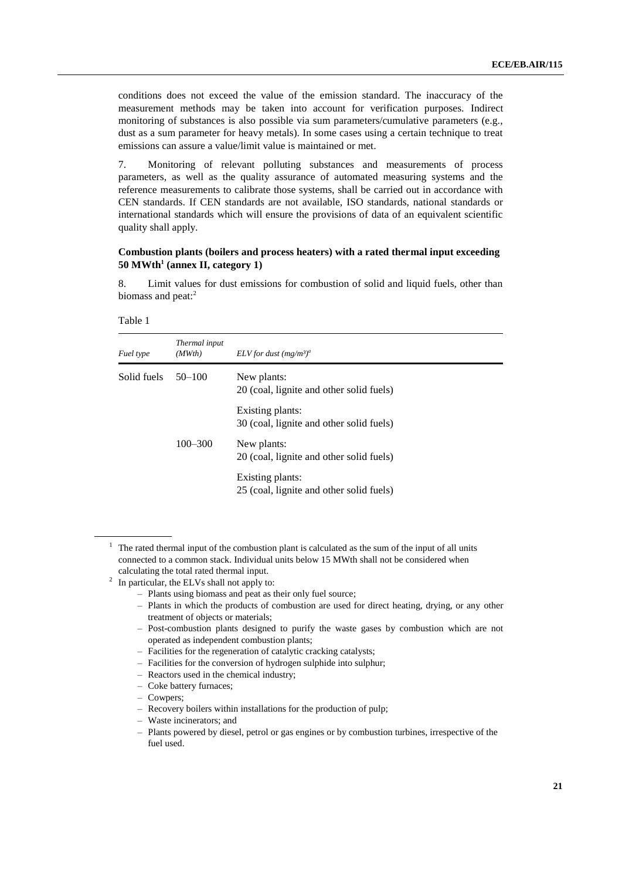conditions does not exceed the value of the emission standard. The inaccuracy of the measurement methods may be taken into account for verification purposes. Indirect monitoring of substances is also possible via sum parameters/cumulative parameters (e.g., dust as a sum parameter for heavy metals). In some cases using a certain technique to treat emissions can assure a value/limit value is maintained or met.

7. Monitoring of relevant polluting substances and measurements of process parameters, as well as the quality assurance of automated measuring systems and the reference measurements to calibrate those systems, shall be carried out in accordance with CEN standards. If CEN standards are not available, ISO standards, national standards or international standards which will ensure the provisions of data of an equivalent scientific quality shall apply.

#### **Combustion plants (boilers and process heaters) with a rated thermal input exceeding 50 MWth<sup>1</sup> (annex II, category 1)**

8. Limit values for dust emissions for combustion of solid and liquid fuels, other than biomass and peat: $2$ 

| able |  |
|------|--|
|------|--|

| Fuel type                 | Thermal input<br>(MWth) | ELV for dust $(mg/m^3)^a$                                    |
|---------------------------|-------------------------|--------------------------------------------------------------|
| Solid fuels<br>$50 - 100$ |                         | New plants:<br>20 (coal, lignite and other solid fuels)      |
|                           |                         | Existing plants:<br>30 (coal, lignite and other solid fuels) |
|                           | $100 - 300$             | New plants:<br>20 (coal, lignite and other solid fuels)      |
|                           |                         | Existing plants:<br>25 (coal, lignite and other solid fuels) |

 $1$  The rated thermal input of the combustion plant is calculated as the sum of the input of all units connected to a common stack. Individual units below 15 MWth shall not be considered when calculating the total rated thermal input.

- Plants using biomass and peat as their only fuel source;
- Plants in which the products of combustion are used for direct heating, drying, or any other treatment of objects or materials;
- Post-combustion plants designed to purify the waste gases by combustion which are not operated as independent combustion plants;
- Facilities for the regeneration of catalytic cracking catalysts;
- Facilities for the conversion of hydrogen sulphide into sulphur;
- Reactors used in the chemical industry;
- Coke battery furnaces;
- Cowpers;
- Recovery boilers within installations for the production of pulp;
- Waste incinerators; and
- Plants powered by diesel, petrol or gas engines or by combustion turbines, irrespective of the fuel used.

 $2\;\;$  In particular, the ELVs shall not apply to: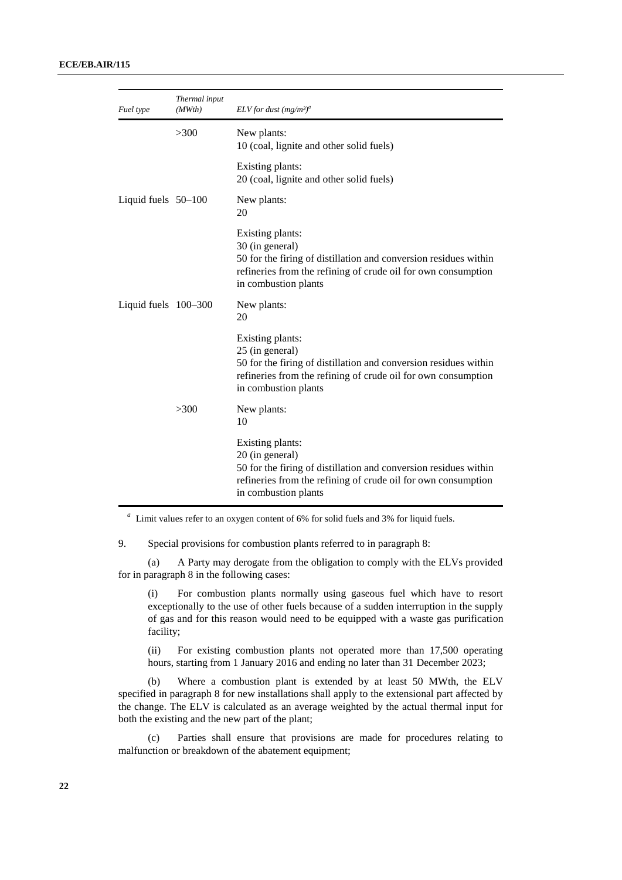| Fuel type             | Thermal input<br>(MWth) | ELV for dust $(mg/m^3)^a$                                                                                                                                                                        |
|-----------------------|-------------------------|--------------------------------------------------------------------------------------------------------------------------------------------------------------------------------------------------|
|                       | >300                    | New plants:<br>10 (coal, lignite and other solid fuels)                                                                                                                                          |
|                       |                         | Existing plants:<br>20 (coal, lignite and other solid fuels)                                                                                                                                     |
| Liquid fuels $50-100$ |                         | New plants:<br>20                                                                                                                                                                                |
|                       |                         | Existing plants:<br>30 (in general)<br>50 for the firing of distillation and conversion residues within<br>refineries from the refining of crude oil for own consumption<br>in combustion plants |
| Liquid fuels 100-300  |                         | New plants:<br>20                                                                                                                                                                                |
|                       |                         | Existing plants:<br>25 (in general)<br>50 for the firing of distillation and conversion residues within<br>refineries from the refining of crude oil for own consumption<br>in combustion plants |
|                       | >300                    | New plants:<br>10                                                                                                                                                                                |
|                       |                         | Existing plants:<br>20 (in general)<br>50 for the firing of distillation and conversion residues within<br>refineries from the refining of crude oil for own consumption<br>in combustion plants |

*a* Limit values refer to an oxygen content of 6% for solid fuels and 3% for liquid fuels.

9. Special provisions for combustion plants referred to in paragraph 8:

(a) A Party may derogate from the obligation to comply with the ELVs provided for in paragraph 8 in the following cases:

(i) For combustion plants normally using gaseous fuel which have to resort exceptionally to the use of other fuels because of a sudden interruption in the supply of gas and for this reason would need to be equipped with a waste gas purification facility;

(ii) For existing combustion plants not operated more than 17,500 operating hours, starting from 1 January 2016 and ending no later than 31 December 2023;

(b) Where a combustion plant is extended by at least 50 MWth, the ELV specified in paragraph 8 for new installations shall apply to the extensional part affected by the change. The ELV is calculated as an average weighted by the actual thermal input for both the existing and the new part of the plant;

(c) Parties shall ensure that provisions are made for procedures relating to malfunction or breakdown of the abatement equipment;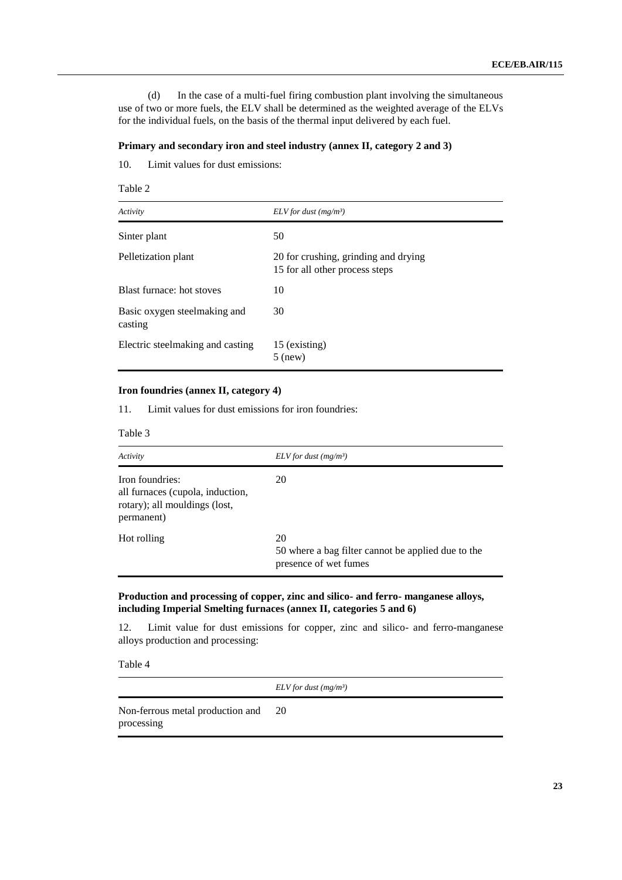(d) In the case of a multi-fuel firing combustion plant involving the simultaneous use of two or more fuels, the ELV shall be determined as the weighted average of the ELVs for the individual fuels, on the basis of the thermal input delivered by each fuel.

#### **Primary and secondary iron and steel industry (annex II, category 2 and 3)**

10. Limit values for dust emissions:

| abie |  |
|------|--|
|------|--|

| Activity                                | ELV for dust $(mg/m^3)$                                                |
|-----------------------------------------|------------------------------------------------------------------------|
| Sinter plant                            | 50                                                                     |
| Pelletization plant                     | 20 for crushing, grinding and drying<br>15 for all other process steps |
| Blast furnace: hot stoves               | 10                                                                     |
| Basic oxygen steelmaking and<br>casting | 30                                                                     |
| Electric steelmaking and casting        | 15 (existing)<br>$5$ (new)                                             |

#### **Iron foundries (annex II, category 4)**

11. Limit values for dust emissions for iron foundries:

| `able |  |
|-------|--|
|-------|--|

| Activity                                                                                           | ELV for dust $(mg/m^3)$                                                           |
|----------------------------------------------------------------------------------------------------|-----------------------------------------------------------------------------------|
| Iron foundries:<br>all furnaces (cupola, induction,<br>rotary); all mouldings (lost,<br>permanent) | 20                                                                                |
| Hot rolling                                                                                        | 20<br>50 where a bag filter cannot be applied due to the<br>presence of wet fumes |

#### **Production and processing of copper, zinc and silico- and ferro- manganese alloys, including Imperial Smelting furnaces (annex II, categories 5 and 6)**

12. Limit value for dust emissions for copper, zinc and silico- and ferro-manganese alloys production and processing:

Table 4

*ELV for dust (mg/m³)*

Non-ferrous metal production and processing 20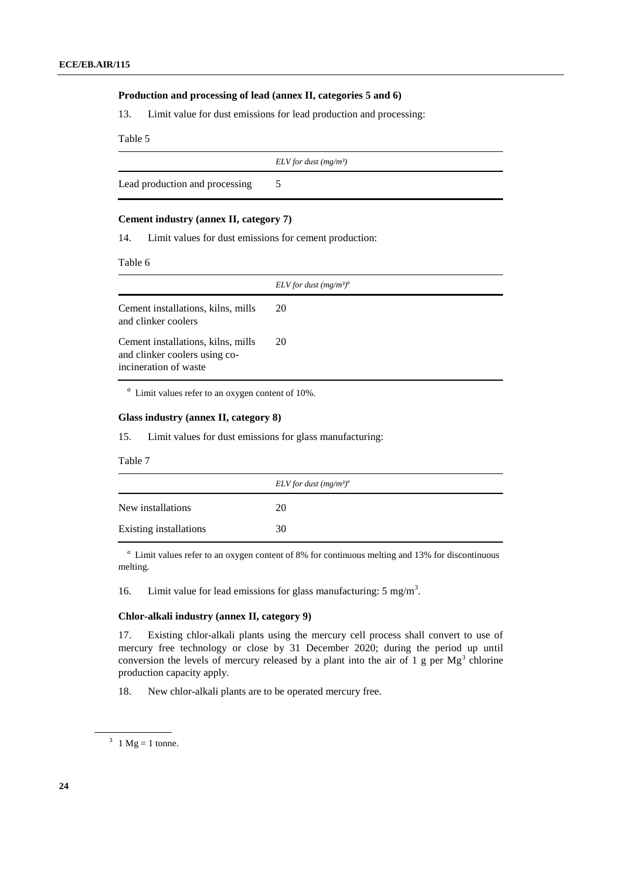#### **Production and processing of lead (annex II, categories 5 and 6)**

13. Limit value for dust emissions for lead production and processing:

Table 5

 *ELV for dust (mg/m³)*

Lead production and processing 5

#### **Cement industry (annex II, category 7)**

14. Limit values for dust emissions for cement production:

Table 6

|                                                                                              | ELV for dust $(mg/m^3)^a$ |
|----------------------------------------------------------------------------------------------|---------------------------|
| Cement installations, kilns, mills<br>and clinker coolers                                    | 20                        |
| Cement installations, kilns, mills<br>and clinker coolers using co-<br>incineration of waste | 20                        |

*a* Limit values refer to an oxygen content of 10%.

#### **Glass industry (annex II, category 8)**

15. Limit values for dust emissions for glass manufacturing:

Table 7

|                        | ELV for dust $(mg/m^3)^a$ |
|------------------------|---------------------------|
| New installations      | 20                        |
| Existing installations | 30                        |

*a* Limit values refer to an oxygen content of 8% for continuous melting and 13% for discontinuous melting.

16. Limit value for lead emissions for glass manufacturing:  $5 \text{ mg/m}^3$ .

#### **Chlor-alkali industry (annex II, category 9)**

17. Existing chlor-alkali plants using the mercury cell process shall convert to use of mercury free technology or close by 31 December 2020; during the period up until conversion the levels of mercury released by a plant into the air of  $1 \text{ g}$  per Mg<sup>3</sup> chlorine production capacity apply.

18. New chlor-alkali plants are to be operated mercury free.

 $3 \text{ } 1 \text{ Mg} = 1 \text{ tonne.}$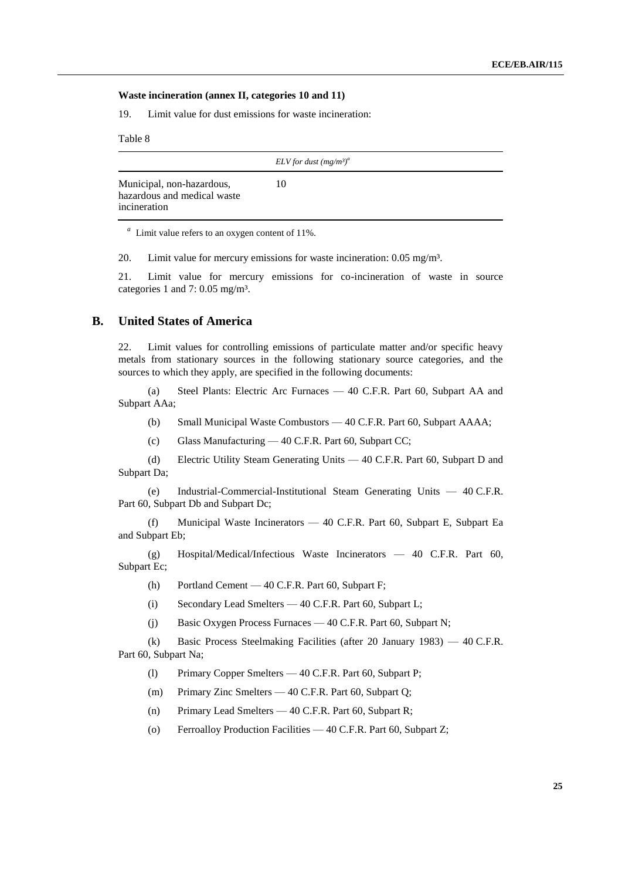#### **Waste incineration (annex II, categories 10 and 11)**

19. Limit value for dust emissions for waste incineration:

Table 8

|                                                                          | ELV for dust $(mg/m^3)^a$ |
|--------------------------------------------------------------------------|---------------------------|
| Municipal, non-hazardous,<br>hazardous and medical waste<br>incineration | 10                        |
|                                                                          |                           |

<sup>*a*</sup> Limit value refers to an oxygen content of 11%.

20. Limit value for mercury emissions for waste incineration: 0.05 mg/m<sup>3</sup>.

21. Limit value for mercury emissions for co-incineration of waste in source categories 1 and 7: 0.05 mg/m³.

#### **B. United States of America**

22. Limit values for controlling emissions of particulate matter and/or specific heavy metals from stationary sources in the following stationary source categories, and the sources to which they apply, are specified in the following documents:

(a) Steel Plants: Electric Arc Furnaces — 40 C.F.R. Part 60, Subpart AA and Subpart AAa;

- (b) Small Municipal Waste Combustors 40 C.F.R. Part 60, Subpart AAAA;
- (c) Glass Manufacturing 40 C.F.R. Part 60, Subpart CC;

(d) Electric Utility Steam Generating Units — 40 C.F.R. Part 60, Subpart D and Subpart Da;

(e) Industrial-Commercial-Institutional Steam Generating Units — 40 C.F.R. Part 60, Subpart Db and Subpart Dc;

(f) Municipal Waste Incinerators — 40 C.F.R. Part 60, Subpart E, Subpart Ea and Subpart Eb;

(g) Hospital/Medical/Infectious Waste Incinerators — 40 C.F.R. Part 60, Subpart Ec;

(h) Portland Cement — 40 C.F.R. Part 60, Subpart F;

- (i) Secondary Lead Smelters 40 C.F.R. Part 60, Subpart L;
- (j) Basic Oxygen Process Furnaces 40 C.F.R. Part 60, Subpart N;

(k) Basic Process Steelmaking Facilities (after 20 January 1983) — 40 C.F.R. Part 60, Subpart Na;

(l) Primary Copper Smelters — 40 C.F.R. Part 60, Subpart P;

- (m) Primary Zinc Smelters 40 C.F.R. Part 60, Subpart Q;
- (n) Primary Lead Smelters 40 C.F.R. Part 60, Subpart R;
- (o) Ferroalloy Production Facilities 40 C.F.R. Part 60, Subpart Z;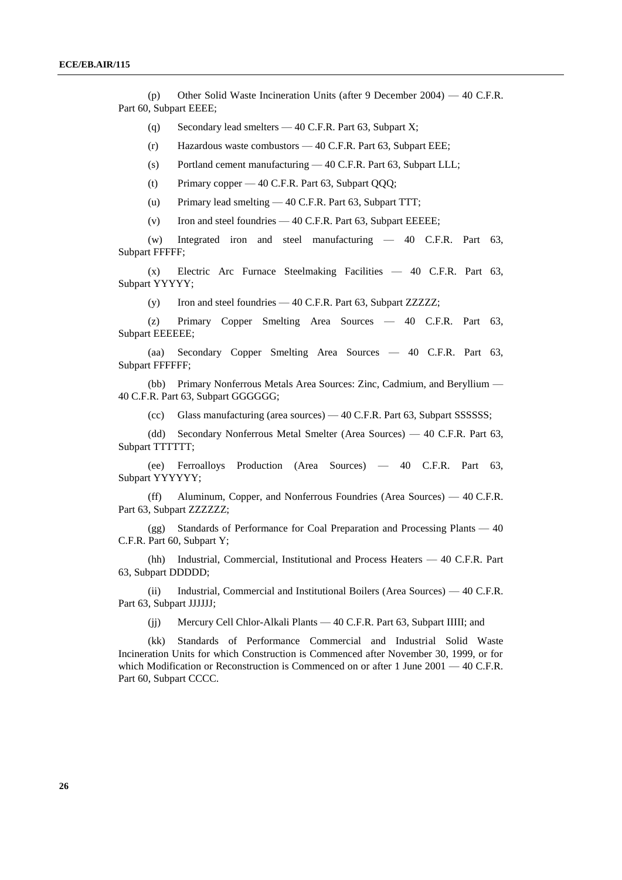(p) Other Solid Waste Incineration Units (after 9 December 2004) — 40 C.F.R. Part 60, Subpart EEEE;

(q) Secondary lead smelters — 40 C.F.R. Part 63, Subpart X;

(r) Hazardous waste combustors — 40 C.F.R. Part 63, Subpart EEE;

(s) Portland cement manufacturing — 40 C.F.R. Part 63, Subpart LLL;

(t) Primary copper — 40 C.F.R. Part 63, Subpart QQQ;

(u) Primary lead smelting — 40 C.F.R. Part 63, Subpart TTT;

(v) Iron and steel foundries — 40 C.F.R. Part 63, Subpart EEEEE;

(w) Integrated iron and steel manufacturing — 40 C.F.R. Part 63, Subpart FFFFF;

(x) Electric Arc Furnace Steelmaking Facilities — 40 C.F.R. Part 63, Subpart YYYYY;

(y) Iron and steel foundries — 40 C.F.R. Part 63, Subpart ZZZZZ;

(z) Primary Copper Smelting Area Sources — 40 C.F.R. Part 63, Subpart EEEEEE;

(aa) Secondary Copper Smelting Area Sources — 40 C.F.R. Part 63, Subpart FFFFFF;

(bb) Primary Nonferrous Metals Area Sources: Zinc, Cadmium, and Beryllium — 40 C.F.R. Part 63, Subpart GGGGGG;

(cc) Glass manufacturing (area sources) — 40 C.F.R. Part 63, Subpart SSSSSS;

(dd) Secondary Nonferrous Metal Smelter (Area Sources) — 40 C.F.R. Part 63, Subpart TTTTTT;

(ee) Ferroalloys Production (Area Sources) — 40 C.F.R. Part 63, Subpart YYYYYY;

(ff) Aluminum, Copper, and Nonferrous Foundries (Area Sources) — 40 C.F.R. Part 63, Subpart ZZZZZZZ;

(gg) Standards of Performance for Coal Preparation and Processing Plants — 40 C.F.R. Part 60, Subpart Y;

(hh) Industrial, Commercial, Institutional and Process Heaters — 40 C.F.R. Part 63, Subpart DDDDD;

(ii) Industrial, Commercial and Institutional Boilers (Area Sources) — 40 C.F.R. Part 63, Subpart JJJJJJ;

(jj) Mercury Cell Chlor-Alkali Plants — 40 C.F.R. Part 63, Subpart IIIII; and

(kk) Standards of Performance Commercial and Industrial Solid Waste Incineration Units for which Construction is Commenced after November 30, 1999, or for which Modification or Reconstruction is Commenced on or after 1 June 2001 — 40 C.F.R. Part 60, Subpart CCCC.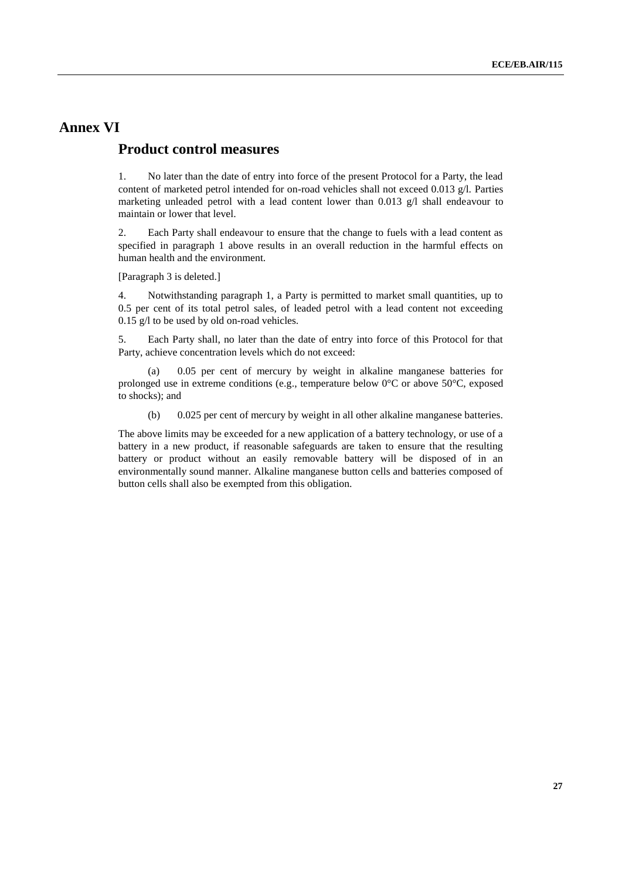### **Annex VI**

### **Product control measures**

1. No later than the date of entry into force of the present Protocol for a Party, the lead content of marketed petrol intended for on-road vehicles shall not exceed 0.013 g/l. Parties marketing unleaded petrol with a lead content lower than 0.013  $g/l$  shall endeavour to maintain or lower that level.

2. Each Party shall endeavour to ensure that the change to fuels with a lead content as specified in paragraph 1 above results in an overall reduction in the harmful effects on human health and the environment.

[Paragraph 3 is deleted.]

4. Notwithstanding paragraph 1, a Party is permitted to market small quantities, up to 0.5 per cent of its total petrol sales, of leaded petrol with a lead content not exceeding 0.15 g/l to be used by old on-road vehicles.

5. Each Party shall, no later than the date of entry into force of this Protocol for that Party, achieve concentration levels which do not exceed:

(a) 0.05 per cent of mercury by weight in alkaline manganese batteries for prolonged use in extreme conditions (e.g., temperature below  $0^{\circ}$ C or above 50 $^{\circ}$ C, exposed to shocks); and

(b) 0.025 per cent of mercury by weight in all other alkaline manganese batteries.

The above limits may be exceeded for a new application of a battery technology, or use of a battery in a new product, if reasonable safeguards are taken to ensure that the resulting battery or product without an easily removable battery will be disposed of in an environmentally sound manner. Alkaline manganese button cells and batteries composed of button cells shall also be exempted from this obligation.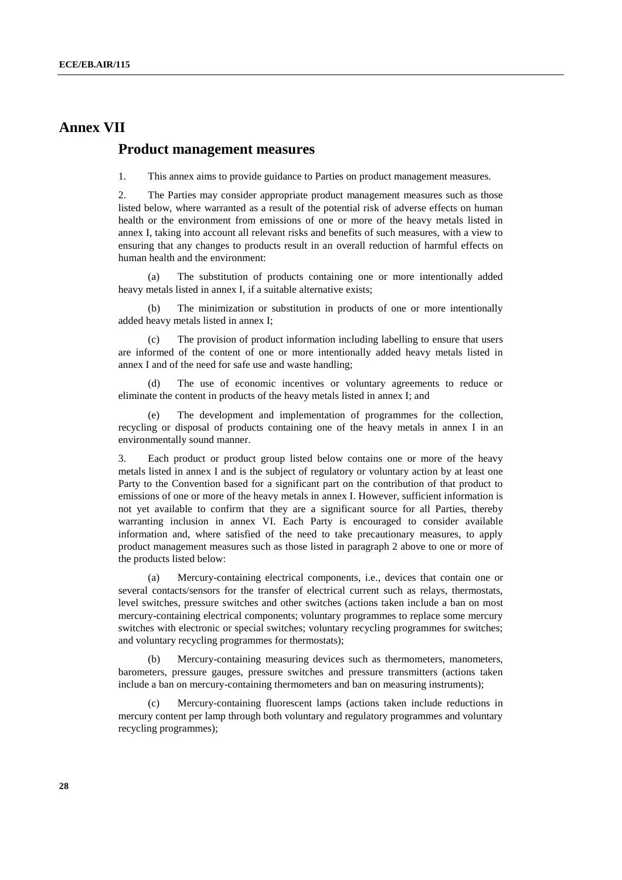### **Annex VII**

#### **Product management measures**

1. This annex aims to provide guidance to Parties on product management measures.

2. The Parties may consider appropriate product management measures such as those listed below, where warranted as a result of the potential risk of adverse effects on human health or the environment from emissions of one or more of the heavy metals listed in [annex I,](file://UNECE-DATA/DATA/GROUPS/EHLM/APT/WGSR/WGSR%20sessions/WGSR50_2012/DOCUMENTS/WGSR50friday/UNECE-DATADATAGROUPSEnhsWEB%20PAGESenvlrtapprotocol98hm_aannex1.htm) taking into account all relevant risks and benefits of such measures, with a view to ensuring that any changes to products result in an overall reduction of harmful effects on human health and the environment:

(a) The substitution of products containing one or more intentionally added heavy metals listed in [annex I,](file://UNECE-DATA/DATA/GROUPS/EHLM/APT/WGSR/WGSR%20sessions/WGSR50_2012/DOCUMENTS/WGSR50friday/UNECE-DATADATAGROUPSEnhsWEB%20PAGESenvlrtapprotocol98hm_aannex1.htm) if a suitable alternative exists;

(b) The minimization or substitution in products of one or more intentionally added heavy metals listed in [annex I;](file://UNECE-DATA/DATA/GROUPS/EHLM/APT/WGSR/WGSR%20sessions/WGSR50_2012/DOCUMENTS/WGSR50friday/UNECE-DATADATAGROUPSEnhsWEB%20PAGESenvlrtapprotocol98hm_aannex1.htm)

(c) The provision of product information including labelling to ensure that users are informed of the content of one or more intentionally added heavy metals listed in [annex](file://UNECE-DATA/DATA/GROUPS/EHLM/APT/WGSR/WGSR%20sessions/WGSR50_2012/DOCUMENTS/WGSR50friday/UNECE-DATADATAGROUPSEnhsWEB%20PAGESenvlrtapprotocol98hm_aannex1.htm) I and of the need for safe use and waste handling;

(d) The use of economic incentives or voluntary agreements to reduce or eliminate the content in products of the heavy metals listed in [annex I;](file://UNECE-DATA/DATA/GROUPS/EHLM/APT/WGSR/WGSR%20sessions/WGSR50_2012/DOCUMENTS/WGSR50friday/UNECE-DATADATAGROUPSEnhsWEB%20PAGESenvlrtapprotocol98hm_aannex1.htm) and

The development and implementation of programmes for the collection, recycling or disposal of products containing one of the heavy metals in [annex I](file://UNECE-DATA/DATA/GROUPS/EHLM/APT/WGSR/WGSR%20sessions/WGSR50_2012/DOCUMENTS/WGSR50friday/UNECE-DATADATAGROUPSEnhsWEB%20PAGESenvlrtapprotocol98hm_aannex1.htm) in an environmentally sound manner.

3. Each product or product group listed below contains one or more of the heavy metals listed in [annex I](file://UNECE-DATA/DATA/GROUPS/EHLM/APT/WGSR/WGSR%20sessions/WGSR50_2012/DOCUMENTS/WGSR50friday/UNECE-DATADATAGROUPSEnhsWEB%20PAGESenvlrtapprotocol98hm_aannex1.htm) and is the subject of regulatory or voluntary action by at least one Party to the Convention based for a significant part on the contribution of that product to emissions of one or more of the heavy metals in [annex I.](file://UNECE-DATA/DATA/GROUPS/EHLM/APT/WGSR/WGSR%20sessions/WGSR50_2012/DOCUMENTS/WGSR50friday/UNECE-DATADATAGROUPSEnhsWEB%20PAGESenvlrtapprotocol98hm_aannex1.htm) However, sufficient information is not yet available to confirm that they are a significant source for all Parties, thereby warranting inclusion in [annex VI.](file://UNECE-DATA/DATA/GROUPS/EHLM/APT/WGSR/WGSR%20sessions/WGSR50_2012/DOCUMENTS/WGSR50friday/UNECE-DATADATAGROUPSEnhsWEB%20PAGESenvlrtapprotocol98hm_aannex6.htm) Each Party is encouraged to consider available information and, where satisfied of the need to take precautionary measures, to apply product management measures such as those listed in paragraph 2 above to one or more of the products listed below:

(a) Mercury-containing electrical components, i.e., devices that contain one or several contacts/sensors for the transfer of electrical current such as relays, thermostats, level switches, pressure switches and other switches (actions taken include a ban on most mercury-containing electrical components; voluntary programmes to replace some mercury switches with electronic or special switches; voluntary recycling programmes for switches; and voluntary recycling programmes for thermostats);

(b) Mercury-containing measuring devices such as thermometers, manometers, barometers, pressure gauges, pressure switches and pressure transmitters (actions taken include a ban on mercury-containing thermometers and ban on measuring instruments);

Mercury-containing fluorescent lamps (actions taken include reductions in mercury content per lamp through both voluntary and regulatory programmes and voluntary recycling programmes);